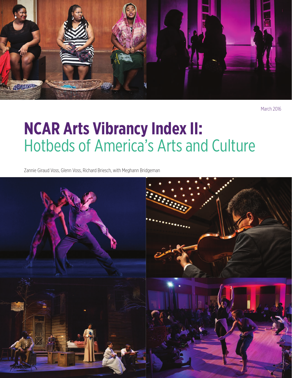

March 2016

# **NCAR Arts Vibrancy Index II:** Hotbeds of America's Arts and Culture

Zannie Giraud Voss, Glenn Voss, Richard Briesch, with Meghann Bridgeman

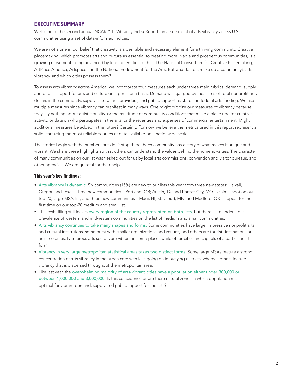### **EXECUTIVE SUMMARY**

Welcome to the second annual NCAR Arts Vibrancy Index Report, an assessment of arts vibrancy across U.S. communities using a set of data-informed indices.

We are not alone in our belief that creativity is a desirable and necessary element for a thriving community. Creative placemaking, which promotes arts and culture as essential to creating more livable and prosperous communities, is a growing movement being advanced by leading entities such as The National Consortium for Creative Placemaking, ArtPlace America, Artspace and the National Endowment for the Arts. But what factors make up a community's arts vibrancy, and which cities possess them?

To assess arts vibrancy across America, we incorporate four measures each under three main rubrics: demand, supply and public support for arts and culture on a per capita basis. Demand was gauged by measures of total nonprofit arts dollars in the community, supply as total arts providers, and public support as state and federal arts funding. We use multiple measures since vibrancy can manifest in many ways. One might criticize our measures of vibrancy because they say nothing about artistic quality, or the multitude of community conditions that make a place ripe for creative activity, or data on who participates in the arts, or the revenues and expenses of commercial entertainment. Might additional measures be added in the future? Certainly. For now, we believe the metrics used in this report represent a solid start using the most reliable sources of data available on a nationwide scale.

The stories begin with the numbers but don't stop there. Each community has a story of what makes it unique and vibrant. We share these highlights so that others can understand the values behind the numeric values. The character of many communities on our list was fleshed out for us by local arts commissions, convention and visitor bureaus, and other agencies. We are grateful for their help.

#### **This year's key findings:**

- Arts vibrancy is dynamic! Six communities (15%) are new to our lists this year from three new states: Hawaii, Oregon and Texas. Three new communities – Portland, OR; Austin, TX; and Kansas City, MO – claim a spot on our top-20, large-MSA list, and three new communities – Maui, HI; St. Cloud, MN; and Medford, OR – appear for the first time on our top-20 medium and small list.
- This reshuffling still leaves every region of the country represented on both lists, but there is an undeniable prevalence of western and midwestern communities on the list of medium and small communities.
- Arts vibrancy continues to take many shapes and forms. Some communities have large, impressive nonprofit arts and cultural institutions, some burst with smaller organizations and venues, and others are tourist destinations or artist colonies. Numerous arts sectors are vibrant in some places while other cities are capitals of a particular art form.
- Vibrancy in very large metropolitan statistical areas takes two distinct forms. Some large MSAs feature a strong concentration of arts vibrancy in the urban core with less going on in outlying districts, whereas others feature vibrancy that is dispersed throughout the metropolitan area.
- Like last year, the overwhelming majority of arts-vibrant cities have a population either under 300,000 or between 1,000,000 and 3,000,000. Is this coincidence or are there natural zones in which population mass is optimal for vibrant demand, supply and public support for the arts?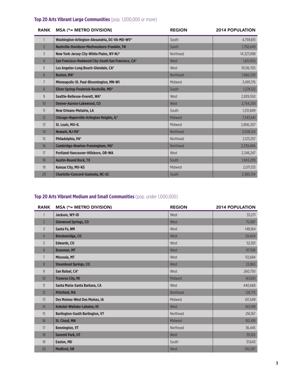### **Top 20 Arts Vibrant Large Communities** (pop. 1,000,000 or more)

| <b>RANK</b>      | <b>MSA (*= METRO DIVISION)</b>                      | <b>REGION</b>    | <b>2014 POPULATION</b> |
|------------------|-----------------------------------------------------|------------------|------------------------|
|                  | Washington-Arlington-Alexandria, DC-VA-MD-WV*       | South            | 4,759,615              |
| $\overline{2}$   | Nashville-Davidson-Murfreesboro-Franklin, TN        | South            | 1,792,649              |
| $\overline{3}$   | New York-Jersey City-White Plains, NY-NJ*           | <b>Northeast</b> | 14,327,098             |
| $\overline{4}$   | San Francisco-Redwood City-South San Francisco, CA* | West             | 1,611,050              |
| 5                | Los Angeles-Long Beach-Glendale, CA*                | West             | 10,116,705             |
| 6                | <b>Boston, MA*</b>                                  | <b>Northeast</b> | 1,966,530              |
| $\overline{7}$   | Minneapolis-St. Paul-Bloomington, MN-WI             | Midwest          | 3,495,176              |
| 8                | Silver Spring-Frederick-Rockville, MD*              | South            | 1,274,122              |
| 9                | Seattle-Bellevue-Everett, WA*                       | West             | 2,839,550              |
| 10 <sup>10</sup> | Denver-Aurora-Lakewood, CO                          | West             | 2,754,258              |
| 11               | <b>New Orleans-Metairie, LA</b>                     | South            | 1,251,849              |
| 12               | Chicago-Naperville-Arlington Heights, IL*           | <b>Midwest</b>   | 7,343,641              |
| 13               | St. Louis, MO-IL                                    | Midwest          | 2,806,207              |
| 14               | Newark, NJ-PA*                                      | <b>Northeast</b> | 2,508,124              |
| 15               | Philadelphia, PA*                                   | <b>Northeast</b> | 2,123,257              |
| 16               | Cambridge-Newton-Framingham, MA*                    | <b>Northeast</b> | 2,339,406              |
| 17               | Portland-Vancouver-Hillsboro, OR-WA                 | West             | 2,348,247              |
| 18               | <b>Austin-Round Rock, TX</b>                        | South            | 1,943,299              |
| 19               | Kansas City, MO-KS                                  | Midwest          | 2,071,133              |
| 20               | <b>Charlotte-Concord-Gastonia, NC-SC</b>            | South            | 2,380,314              |

### **Top 20 Arts Vibrant Medium and Small Communities** (pop. under 1,000,000)

| <b>RANK</b>    | <b>MSA (*= METRO DIVISION)</b>         | <b>REGION</b>    | <b>2014 POPULATION</b> |
|----------------|----------------------------------------|------------------|------------------------|
|                | Jackson, WY-ID                         | West             | 33,271                 |
| $\overline{2}$ | <b>Glenwood Springs, CO</b>            | West             | 75,087                 |
| $\overline{3}$ | Santa Fe, NM                           | West             | 148,164                |
| $\overline{4}$ | <b>Breckenridge, CO</b>                | West             | 29,404                 |
| 5              | <b>Edwards, CO</b>                     | West             | 52,921                 |
| 6              | <b>Bozeman, MT</b>                     | West             | 97,308                 |
| $\overline{7}$ | Missoula, MT                           | West             | 112,684                |
| 8              | <b>Steamboat Springs, CO</b>           | West             | 23,865                 |
| 9              | San Rafael, CA*                        | West             | 260,750                |
| 10             | <b>Traverse City, MI</b>               | <b>Midwest</b>   | 147,610                |
| 11             | Santa Maria-Santa Barbara, CA          | West             | 440,668                |
| 12             | <b>Pittsfield, MA</b>                  | <b>Northeast</b> | 128,715                |
| 13             | Des Moines-West Des Moines, IA         | Midwest          | 611,549                |
| 14             | Kahului-Wailuku-Lahaina, HI            | West             | 163,108                |
| 15             | <b>Burlington-South Burlington, VT</b> | Northeast        | 216,167                |
| 16             | <b>St. Cloud, MN</b>                   | <b>Midwest</b>   | 192,418                |
| 17             | <b>Bennington, VT</b>                  | Northeast        | 36,445                 |
| 18             | <b>Summit Park, UT</b>                 | West             | 39,105                 |
| 19             | <b>Easton, MD</b>                      | South            | 37,643                 |
| 20             | <b>Medford, OR</b>                     | West             | 210,287                |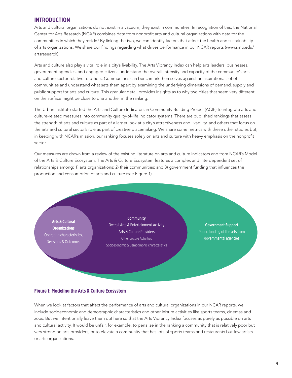### **INTRODUCTION**

Arts and cultural organizations do not exist in a vacuum; they exist in communities. In recognition of this, the National Center for Arts Research (NCAR) combines data from nonprofit arts and cultural organizations with data for the communities in which they reside.<sup>i</sup> By linking the two, we can identify factors that affect the health and sustainability of arts organizations. We share our findings regarding what drives performance in our NCAR reports (www.smu.edu/ artsresearch).

Arts and culture also play a vital role in a city's livability. The Arts Vibrancy Index can help arts leaders, businesses, government agencies, and engaged citizens understand the overall intensity and capacity of the community's arts and culture sector relative to others. Communities can benchmark themselves against an aspirational set of communities and understand what sets them apart by examining the underlying dimensions of demand, supply and public support for arts and culture. This granular detail provides insights as to why two cities that seem very different on the surface might be close to one another in the ranking.

The Urban Institute started the Arts and Culture Indicators in Community Building Project (ACIP) to integrate arts and culture-related measures into community quality-of-life indicator systems. There are published rankings that assess the strength of arts and culture as part of a larger look at a city's attractiveness and livability, and others that focus on the arts and cultural sector's role as part of creative placemaking. We share some metrics with these other studies but, in keeping with NCAR's mission, our ranking focuses solely on arts and culture with heavy emphasis on the nonprofit sector.

Our measures are drawn from a review of the existing literature on arts and culture indicators and from NCAR's Model of the Arts & Culture Ecosystem. The Arts & Culture Ecosystem features a complex and interdependent set of relationships among: 1) arts organizations; 2) their communities; and 3) government funding that influences the production and consumption of arts and culture (see Figure 1).

**Arts & Cultural Organizations** Operating characteristics, Decisions & Outcomes

**Community** Overall Arts & Entertainment Activity Arts & Culture Providers Other Leisure Activities Socioeconomic & Demographic characteristics

**Government Support** Public funding of the arts from governmental agencies

#### **Figure 1: Modeling the Arts & Culture Ecosystem**

When we look at factors that affect the performance of arts and cultural organizations in our NCAR reports, we include socioeconomic and demographic characteristics and other leisure activities like sports teams, cinemas and zoos. But we intentionally leave them out here so that the Arts Vibrancy Index focuses as purely as possible on arts and cultural activity. It would be unfair, for example, to penalize in the ranking a community that is relatively poor but very strong on arts providers, or to elevate a community that has lots of sports teams and restaurants but few artists or arts organizations.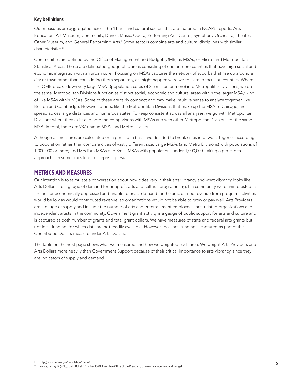#### **Key Definitions**

Our measures are aggregated across the 11 arts and cultural sectors that are featured in NCAR's reports: Arts Education, Art Museum, Community, Dance, Music, Opera, Performing Arts Center, Symphony Orchestra, Theater, Other Museum, and General Performing Arts.ii Some sectors combine arts and cultural disciplines with similar characteristics.<sup>iii</sup>

Communities are defined by the Office of Management and Budget (OMB) as MSAs, or Micro- and Metropolitan Statistical Areas. These are delineated geographic areas consisting of one or more counties that have high social and economic integration with an urban core.<sup>1</sup> Focusing on MSAs captures the network of suburbs that rise up around a city or town rather than considering them separately, as might happen were we to instead focus on counties. Where the OMB breaks down very large MSAs (population cores of 2.5 million or more) into Metropolitan Divisions, we do the same. Metropolitan Divisions function as distinct social, economic and cultural areas within the larger MSA, $^2$  kind of like MSAs within MSAs. Some of these are fairly compact and may make intuitive sense to analyze together, like Boston and Cambridge. However, others, like the Metropolitan Divisions that make up the MSA of Chicago, are spread across large distances and numerous states. To keep consistent across all analyses, we go with Metropolitan Divisions where they exist and note the comparisons with MSAs and with other Metropolitan Divisions for the same MSA. In total, there are 937 unique MSAs and Metro Divisions.

Although all measures are calculated on a per capita basis, we decided to break cities into two categories according to population rather than compare cities of vastly different size: Large MSAs (and Metro Divisions) with populations of 1,000,000 or more; and Medium MSAs and Small MSAs with populations under 1,000,000. Taking a per-capita approach can sometimes lead to surprising results.

#### **METRICS AND MEASURES**

Our intention is to stimulate a conversation about how cities vary in their arts vibrancy and what vibrancy looks like. Arts Dollars are a gauge of demand for nonprofit arts and cultural programming. If a community were uninterested in the arts or economically depressed and unable to enact demand for the arts, earned revenue from program activities would be low as would contributed revenue, so organizations would not be able to grow or pay well. Arts Providers are a gauge of supply and include the number of arts and entertainment employees, arts-related organizations and independent artists in the community. Government grant activity is a gauge of public support for arts and culture and is captured as both number of grants and total grant dollars. We have measures of state and federal arts grants but not local funding, for which data are not readily available. However, local arts funding is captured as part of the Contributed Dollars measure under Arts Dollars.

The table on the next page shows what we measured and how we weighted each area. We weight Arts Providers and Arts Dollars more heavily than Government Support because of their critical importance to arts vibrancy, since they are indicators of supply and demand.

http://www.census.gov/population/metro/

<sup>2</sup> Zients, Jeffrey D. (2013), OMB Bulletin Number 13-01, Executive Office of the President, Office of Management and Budget.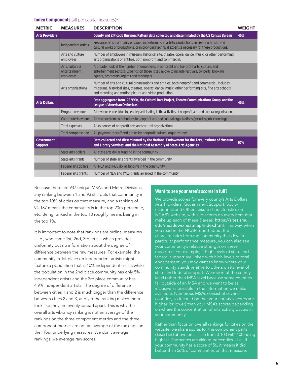#### **Index Components** (all per capita measures)<sup>iv</sup>

| <b>METRIC</b>                       | <b>MEASURES</b>                               | <b>DESCRIPTION</b>                                                                                                                                                                                                                                                | <b>WEIGHT</b> |
|-------------------------------------|-----------------------------------------------|-------------------------------------------------------------------------------------------------------------------------------------------------------------------------------------------------------------------------------------------------------------------|---------------|
| <b>Arts Providers</b>               |                                               | County and ZIP code Business Pattern data collected and disseminated by the US Census Bureau                                                                                                                                                                      | 45%           |
|                                     | Independent artists                           | Freelance artists primarily engaged in performing in artistic productions, in creating artistic and<br>cultural works or productions, or in providing technical expertise necessary for these productions.                                                        |               |
|                                     | Arts and culture<br>employees                 | Number of employees in museum, historical site, theatre, opera, dance, music, or other performing<br>arts organizations or entities, both nonprofit and commercial.                                                                                               |               |
|                                     | Arts, culture &<br>entertainment<br>employees | A broader look at the number of employees in nonprofit and for-profit arts, culture, and<br>entertainment sectors. Expands on those listed above to include festivals, concerts, booking<br>agents, promoters, agents and managers.                               |               |
|                                     | Arts organizations                            | Number of arts and cultural organizations and entities, both nonprofit and commercial. Includes<br>museums, historical sites, theatres, operas, dance, music, other performing arts, fine arts schools,<br>and recording and motion picture and video production. |               |
| <b>Arts Dollars</b>                 |                                               | Data aggregated from IRS 990s, the Cultural Data Project, Theatre Communications Group, and the<br><b>League of American Orchestras</b>                                                                                                                           | 45%           |
|                                     | Program revenue                               | All revenue earned due to people participating in the activities of nonprofit arts and cultural organizations                                                                                                                                                     |               |
|                                     | Contributed revenue                           | All revenue from contributions to nonprofit arts and cultural organizations (includes public funding)                                                                                                                                                             |               |
|                                     | Total expenses                                | All expenses of nonprofit arts and cultural organizations                                                                                                                                                                                                         |               |
|                                     | <b>Total compensation</b>                     | All payment to staff and artists by nonprofit cultural organizations                                                                                                                                                                                              |               |
| <b>Government</b><br><b>Support</b> |                                               | Data collected and disseminated by the National Endowment for the Arts, Institute of Museum<br>and Library Services, and the National Assembly of State Arts Agencies                                                                                             | 10%           |
|                                     | State arts dollars                            | All state arts dollar funding in the community                                                                                                                                                                                                                    |               |
|                                     | State arts grants                             | Number of state arts grants awarded in the community                                                                                                                                                                                                              |               |
|                                     | <b>Federal arts dollars</b>                   | All NEA and IMLS dollar funding in the community                                                                                                                                                                                                                  |               |
|                                     | Federal arts grants                           | Number of NEA and IMLS grants awarded in the community                                                                                                                                                                                                            |               |

Because there are 937 unique MSAs and Metro Divisions, any ranking between 1 and 93 still puts that community in the top 10% of cities on that measure, and a ranking of 94-187 means the community is in the top 20th percentile, etc. Being ranked in the top 10 roughly means being in the top 1%.

It is important to note that rankings are ordinal measures – i.e., who came 1st, 2nd, 3rd, etc. – which provides uniformity but no information about the degree of difference between the raw measures. For example, the community in 1st place on independent artists might feature a population that is 10% independent artists while the population in the 2nd place community has only 5% independent artists and the 3rd place community has 4.9% independent artists. The degree of difference between cities 1 and 2 is much bigger than the difference between cities 2 and 3, and yet the ranking makes them look like they are evenly spread apart. This is why the overall arts vibrancy ranking is not an average of the rankings on the three component metrics and the three component metrics are not an average of the rankings on their four underlying measures. We don't average rankings, we average raw scores.

#### **Want to see your area's scores in full?**

We provide scores for every county's Arts Dollars, Arts Providers, Government Support, Socioeconomic and Other Leisure characteristics on NCAR's website, with sub-scores on every item that make up each of these 5 areas: https://sites.smu. edu/meadows/heatmap/index.html. This way, when you read in the NCAR report about the characteristics from the community that drive a particular performance measure, you can also see your community's relative strength on these measures. For example, if high levels of state and federal support are linked with high levels of total engagement, you may want to know where your community stands relative to others on its level of state and federal support. We report at the county level rather than MSA level because some counties fall outside of an MSA and we want to be as inclusive as possible in the information we make available. Numerous MSAs consist of several counties, so it could be that your county's scores are higher (or lower) than your MSA's scores depending on where the concentration of arts activity occurs in your community.

Rather than focus on overall rankings for cities on the website, we share scores for the component parts described above on a scale from 0-100 with 100 being highest. The scores are akin to percentiles – i.e., if your community has a score of 56, it means it did better than 56% of communities on that measure.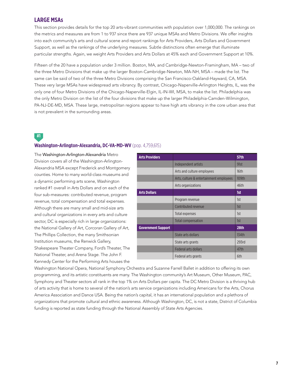### **LARGE MSAs**

This section provides details for the top 20 arts-vibrant communities with population over 1,000,000. The rankings on the metrics and measures are from 1 to 937 since there are 937 unique MSAs and Metro Divisions. We offer insights into each community's arts and cultural scene and report rankings for Arts Providers, Arts Dollars and Government Support, as well as the rankings of the underlying measures. Subtle distinctions often emerge that illuminate particular strengths. Again, we weight Arts Providers and Arts Dollars at 45% each and Government Support at 10%.

Fifteen of the 20 have a population under 3 million. Boston, MA, and Cambridge-Newton-Framingham, MA – two of the three Metro Divisions that make up the larger Boston-Cambridge-Newton, MA-NH, MSA – made the list. The same can be said of two of the three Metro Divisions comprising the San Francisco-Oakland-Hayward, CA, MSA. These very large MSAs have widespread arts vibrancy. By contrast, Chicago-Naperville-Arlington Heights, IL, was the only one of four Metro Divisions of the Chicago-Naperville-Elgin, IL-IN-WI, MSA, to make the list. Philadelphia was the only Metro Division on the list of the four divisions that make up the larger Philadelphia-Camden-Wilmington, PA-NJ-DE-MD, MSA. These large, metropolitan regions appear to have high arts vibrancy in the core urban area that is not prevalent in the surrounding areas.

### **#1 Washington-Arlington-Alexandria, DC-VA-MD-WV** (pop. 4,759,615)

The Washington-Arlington-Alexandria Metro Division covers all of the Washington-Arlington-Alexandria MSA except Frederick and Montgomery counties. Home to many world-class museums and a dynamic performing arts scene, Washington ranked #1 overall in Arts Dollars and on each of the four sub-measures: contributed revenue, program revenue, total compensation and total expenses. Although there are many small and mid-size arts and cultural organizations in every arts and culture sector, DC is especially rich in large organizations: the National Gallery of Art, Corcoran Gallery of Art, The Phillips Collection, the many Smithsonian Institution museums, the Renwick Gallery, Shakespeare Theater Company, Ford's Theater, The National Theater, and Arena Stage. The John F. Kennedy Center for the Performing Arts houses the

| <b>Arts Providers</b>     |                                         | <b>57th</b> |
|---------------------------|-----------------------------------------|-------------|
|                           | Independent artists                     | 91st        |
|                           | Arts and culture employees              | 16th        |
|                           | Arts, culture & entertainment employees | 109th       |
|                           | Arts organizations                      | 46th        |
| <b>Arts Dollars</b>       |                                         | 1st         |
|                           | Program revenue                         | 1st         |
|                           | Contributed revenue                     | 1st         |
|                           | Total expenses                          | 1st         |
|                           | <b>Total compensation</b>               | 1st         |
| <b>Government Support</b> |                                         | 28th        |
|                           | State arts dollars                      | 134th       |
|                           | State arts grants                       | 293rd       |
|                           | <b>Federal arts dollars</b>             | 47th        |
|                           | Federal arts grants                     | 6th         |

Washington National Opera, National Symphony Orchestra and Suzanne Farrell Ballet in addition to offering its own programming, and its artistic constituents are many. The Washington community's Art Museum, Other Museum, PAC, Symphony and Theater sectors all rank in the top 1% on Arts Dollars per capita. The DC Metro Division is a thriving hub of arts activity that is home to several of the nation's arts service organizations including Americans for the Arts, Chorus America Association and Dance USA. Being the nation's capital, it has an international population and a plethora of organizations that promote cultural and ethnic awareness. Although Washington, DC, is not a state, District of Columbia funding is reported as state funding through the National Assembly of State Arts Agencies.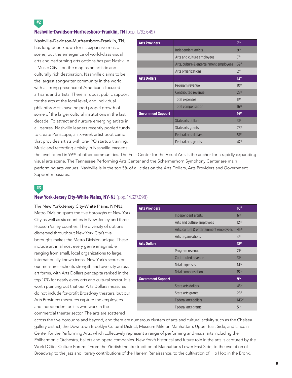### **Nashville-Davidson-Murfreesboro-Franklin, TN** (pop. 1,792,649)

Nashville-Davidson-Murfreesboro-Franklin, TN, has long been known for its expansive music scene, but the emergence of world-class visual arts and performing arts options has put Nashville – Music City – on the map as an artistic and culturally rich destination. Nashville claims to be the largest songwriter community in the world, with a strong presence of Americana-focused artisans and artists. There is robust public support for the arts at the local level, and individual philanthropists have helped propel growth of some of the larger cultural institutions in the last decade. To attract and nurture emerging artists in all genres, Nashville leaders recently pooled funds to create Periscope, a six-week artist boot camp that provides artists with pre-IPO startup training. Music and recording activity in Nashville exceeds

| <b>Arts Providers</b>     |                                         | 7 <sup>th</sup>  |
|---------------------------|-----------------------------------------|------------------|
|                           | Independent artists                     | gth              |
|                           | Arts and culture employees              | 7 <sup>th</sup>  |
|                           | Arts, culture & entertainment employees | 39th             |
|                           | Arts organizations                      | 2 <sub>nd</sub>  |
| <b>Arts Dollars</b>       |                                         | 12 <sup>th</sup> |
|                           | Program revenue                         | 10 <sup>th</sup> |
|                           | Contributed revenue                     | 23 <sup>rd</sup> |
|                           | Total expenses                          | 11 <sup>th</sup> |
|                           | Total compensation                      | 16 <sup>th</sup> |
| <b>Government Support</b> |                                         | 16 <sup>th</sup> |
|                           | State arts dollars                      | 31 <sup>st</sup> |
|                           | State arts grants                       | 78 <sup>th</sup> |
|                           | Federal arts dollars                    | 57 <sup>th</sup> |
|                           | Federal arts grants                     | 47 <sup>th</sup> |
|                           |                                         |                  |

the level found in 99% of other communities. The Frist Center for the Visual Arts is the anchor for a rapidly expanding visual arts scene. The Tennessee Performing Arts Center and the Schermerhorn Symphony Center are main performing arts venues. Nashville is in the top 5% of all cities on the Arts Dollars, Arts Providers and Government Support measures.

**#3**

**#2**

#### **New York-Jersey City-White Plains, NY-NJ** (pop. 14,327,098)

The New York-Jersey City-White Plains, NY-NJ, Metro Division spans the five boroughs of New York City as well as six counties in New Jersey and three Hudson Valley counties. The diversity of options dispersed throughout New York City's five boroughs makes the Metro Division unique. These include art in almost every genre imaginable ranging from small, local organizations to large, internationally known icons. New York's scores on our measures echo its strength and diversity across art forms, with Arts Dollars per capita ranked in the top 10% for nearly every arts and cultural sector. It is worth pointing out that our Arts Dollars measures do not include for-profit Broadway theaters, but our Arts Providers measures capture the employees and independent artists who work in the commercial theater sector. The arts are scattered

| <b>Arts Providers</b>     |                                         | 10 <sup>th</sup>  |
|---------------------------|-----------------------------------------|-------------------|
|                           | Independent artists                     | 6 <sup>th</sup>   |
|                           | Arts and culture employees              | 12 <sup>th</sup>  |
|                           | Arts, culture & entertainment employees | 45 <sup>th</sup>  |
|                           | Arts organizations                      | 3 <sup>rd</sup>   |
| <b>Arts Dollars</b>       |                                         | 18 <sup>th</sup>  |
|                           | Program revenue                         | 21 <sup>st</sup>  |
|                           | Contributed revenue                     | 31 <sup>st</sup>  |
|                           | Total expenses                          | 14 <sup>th</sup>  |
|                           | Total compensation                      | 15 <sup>th</sup>  |
| <b>Government Support</b> |                                         | <b>gth</b>        |
|                           | State arts dollars                      | 43 <sup>rd</sup>  |
|                           | State arts grants                       | 28 <sup>th</sup>  |
|                           | <b>Federal arts dollars</b>             | 143 <sup>rd</sup> |
|                           | Federal arts grants                     | 5 <sup>th</sup>   |

across the five boroughs and beyond, and there are numerous clusters of arts and cultural activity such as the Chelsea gallery district, the Downtown Brooklyn Cultural District, Museum Mile on Manhattan's Upper East Side, and Lincoln Center for the Performing Arts, which collectively represent a range of performing and visual arts including the Philharmonic Orchestra, ballets and opera companies. New York's historical and future role in the arts is captured by the World Cities Culture Forum: "From the Yiddish theatre tradition of Manhattan's Lower East Side, to the evolution of Broadway, to the jazz and literary contributions of the Harlem Renaissance, to the cultivation of Hip Hop in the Bronx,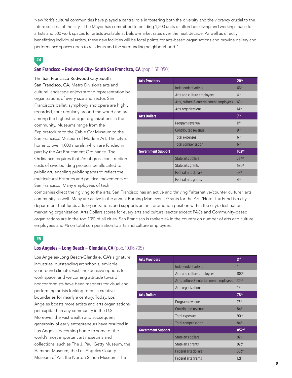New York's cultural communities have played a central role in fostering both the diversity and the vibrancy crucial to the future success of the city... The Mayor has committed to building 1,500 units of affordable living and working space for artists and 500 work spaces for artists available at below-market rates over the next decade. As well as directly benefitting individual artists, these new facilities will be focal points for arts-based organisations and provide gallery and performance spaces open to residents and the surrounding neighbourhood."

### **#4**

#### **San Francisco – Redwood City- South San Francisco, CA** (pop. 1,611,050)

The San Francisco-Redwood City-South San Francisco, CA, Metro Division's arts and cultural landscape enjoys strong representation by organizations of every size and sector. San Francisco's ballet, symphony and opera are highly regarded, tour regularly around the world and are among the highest-budget organizations in the community. Museums range from the Exploratorium to the Cable Car Museum to the San Francisco Museum of Modern Art. The city is home to over 1,000 murals, which are funded in part by the Art Enrichment Ordinance. The Ordinance requires that 2% of gross construction costs of civic building projects be allocated to public art, enabling public spaces to reflect the multicultural histories and political movements of San Francisco. Many employees of tech

| <b>Arts Providers</b>     |                                         | 20 <sup>th</sup>  |
|---------------------------|-----------------------------------------|-------------------|
|                           | Independent artists                     | 66 <sup>th</sup>  |
|                           | Arts and culture employees              | 4 <sup>th</sup>   |
|                           | Arts, culture & entertainment employees | 63 <sup>rd</sup>  |
|                           | Arts organizations                      | 14 <sup>th</sup>  |
| <b>Arts Dollars</b>       |                                         | 7 <sup>th</sup>   |
|                           | Program revenue                         | 11 <sup>th</sup>  |
|                           | Contributed revenue                     | gth               |
|                           | Total expenses                          | 6 <sup>th</sup>   |
|                           | <b>Total compensation</b>               | 6 <sup>th</sup>   |
| <b>Government Support</b> |                                         | 102 <sup>nd</sup> |
|                           | State arts dollars                      | 737 <sup>th</sup> |
|                           | State arts grants                       | 580 <sup>th</sup> |
|                           | Federal arts dollars                    | 38 <sup>th</sup>  |
|                           | Federal arts grants                     | 4 <sup>th</sup>   |

companies direct their giving to the arts. San Francisco has an active and thriving "alternative/counter culture" arts community as well. Many are active in the annual Burning Man event. Grants for the Arts/Hotel Tax Fund is a city department that funds arts organizations and supports an arts promotion position within the city's destination marketing organization. Arts Dollars scores for every arts and cultural sector except PACs and Community-based organizations are in the top 10% of all cities. San Francisco is ranked #4 in the country on number of arts and culture employees and #6 on total compensation to arts and culture employees.

### **#5**

#### **Los Angeles – Long Beach – Glendale, CA** (pop. 10,116,705)

Los Angeles-Long Beach-Glendale, CA's signature industries, outstanding art schools, enviable year-round climate, vast, inexpensive options for work space, and welcoming attitude toward nonconformists have been magnets for visual and performing artists looking to push creative boundaries for nearly a century. Today, Los Angeles boasts more artists and arts organizations per capita than any community in the U.S. Moreover, the vast wealth and subsequent generosity of early entrepreneurs have resulted in Los Angeles becoming home to some of the world's most important art museums and collections, such as The J. Paul Getty Museum, the Hammer Museum, the Los Angeles County Museum of Art, the Norton Simon Museum, The

| <b>Arts Providers</b>     |                                         | 3 <sup>rd</sup>   |
|---------------------------|-----------------------------------------|-------------------|
|                           | Independent artists                     | 1 <sup>st</sup>   |
|                           | Arts and culture employees              | 188 <sup>th</sup> |
|                           | Arts, culture & entertainment employees | 32 <sup>nd</sup>  |
|                           | Arts organizations                      | 1 <sup>st</sup>   |
| <b>Arts Dollars</b>       |                                         | 78 <sup>th</sup>  |
|                           | Program revenue                         | 76 <sup>th</sup>  |
|                           | Contributed revenue                     | 84th              |
|                           | Total expenses                          | 90 <sup>th</sup>  |
|                           | <b>Total compensation</b>               | 84th              |
| <b>Government Support</b> |                                         | 852 <sup>nd</sup> |
|                           | State arts dollars                      | 921 <sup>st</sup> |
|                           | State arts grants                       | 923rd             |
|                           | <b>Federal arts dollars</b>             | 383rd             |
|                           | Federal arts grants                     | 121 <sup>st</sup> |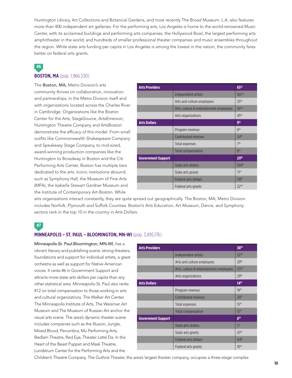Huntington Library, Art Collections and Botanical Gardens, and most recently The Broad Museum. L.A. also features more than 400 independent art galleries. For the performing arts, Los Angeles is home to the world-renowned Music Center, with its acclaimed buildings and performing arts companies; the Hollywood Bowl, the largest performing arts amphitheater in the world; and hundreds of smaller professional theater companies and music ensembles throughout the region. While state arts funding per capita in Los Angeles is among the lowest in the nation, the community fares better on federal arts grants.

### **#6 BOSTON, MA** (pop. 1,966,530)

The Boston, MA, Metro Division's arts community thrives on collaboration, innovation and partnerships, in the Metro Division itself and with organizations located across the Charles River in Cambridge. Organizations like the Boston Center for the Arts, StageSource, ArtsEmerson, Huntington Theatre Company and ArtsBoston demonstrate the efficacy of this model. From small outfits like Commonwealth Shakespeare Company and Speakeasy Stage Company, to mid-sized, award-winning production companies like the Huntington to Broadway in Boston and the Citi Performing Arts Center, Boston has multiple tiers dedicated to the arts. Iconic institutions abound, such as Symphony Hall, the Museum of Fine Arts (MFA), the Isabella Stewart Gardner Museum and the Institute of Contemporary Art-Boston. While

| <b>Arts Providers</b>     |                                         | 65 <sup>th</sup>  |
|---------------------------|-----------------------------------------|-------------------|
|                           | Independent artists                     | 162 <sup>nd</sup> |
|                           | Arts and culture employees              | 25 <sup>th</sup>  |
|                           | Arts, culture & entertainment employees | 92 <sub>nd</sub>  |
|                           | Arts organizations                      | 45 <sup>th</sup>  |
| <b>Arts Dollars</b>       |                                         | <b>gth</b>        |
|                           | Program revenue                         | 6 <sup>th</sup>   |
|                           | Contributed revenue                     | 14 <sup>th</sup>  |
|                           | Total expenses                          | 7 <sup>th</sup>   |
|                           | <b>Total compensation</b>               | 8 <sup>th</sup>   |
| <b>Government Support</b> |                                         | 29th              |
|                           | State arts dollars                      | $104^{th}$        |
|                           | State arts grants                       | 71 <sup>st</sup>  |
|                           | Federal arts dollars                    | 118 <sup>th</sup> |
|                           | Federal arts grants                     | 22 <sub>nd</sub>  |

arts organizations interact constantly, they are quite spread out geographically. The Boston, MA, Metro Division includes Norfolk, Plymouth and Suffolk Counties. Boston's Arts Education, Art Museum, Dance, and Symphony sectors rank in the top 10 in the country in Arts Dollars.

### **#7**

#### **MINNEAPOLIS – ST. PAUL – BLOOMINGTON, MN-WI** (pop. 3,495,176)

Minneapolis-St. Paul-Bloomington, MN-WI, has a vibrant literary and publishing scene, strong theaters, foundations and support for individual artists, a great orchestra as well as support for Native American voices. It ranks #6 in Government Support and attracts more state arts dollars per capita than any other statistical area. Minneapolis-St. Paul also ranks #12 on total compensation to those working in arts and cultural organizations. The Walker Art Center, The Minneapolis Institute of Arts, The Weisman Art Museum and The Museum of Russian Art anchor the visual arts scene. The area's dynamic theater scene includes companies such as the Illusion, Jungle, Mixed Blood, Penumbra, Mu Performing Arts, Bedlam Theatre, Red Eye, Theater Latté Da, In the Heart of the Beast Puppet and Mask Theatre, Lundstrum Center for the Performing Arts and the

| <b>Arts Providers</b>     |                                         | 38 <sup>th</sup>  |
|---------------------------|-----------------------------------------|-------------------|
|                           | Independent artists                     | 52 <sup>nd</sup>  |
|                           | Arts and culture employees              | 29th              |
|                           | Arts, culture & entertainment employees | 137 <sup>th</sup> |
|                           | Arts organizations                      | 29th              |
| <b>Arts Dollars</b>       |                                         | 14 <sup>th</sup>  |
|                           | Program revenue                         | 19th              |
|                           | Contributed revenue                     | 20 <sup>th</sup>  |
|                           | Total expenses                          | 15 <sup>th</sup>  |
|                           | <b>Total compensation</b>               | 12 <sup>th</sup>  |
| <b>Government Support</b> |                                         | 6 <sup>th</sup>   |
|                           | State arts dollars                      | 1 <sup>st</sup>   |
|                           | State arts grants                       | 47 <sup>th</sup>  |
|                           | Federal arts dollars                    | 114 <sup>th</sup> |
|                           | Federal arts grants                     | 10 <sup>th</sup>  |

Children's Theatre Company. The Guthrie Theater, the area's largest theater company, occupies a three-stage complex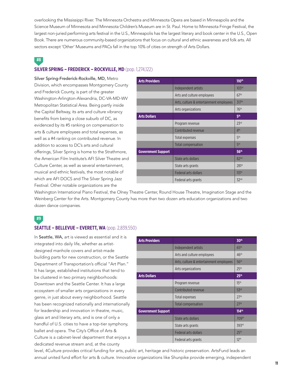overlooking the Mississippi River. The Minnesota Orchestra and Minnesota Opera are based in Minneapolis and the Science Museum of Minnesota and Minnesota Children's Museum are in St. Paul. Home to Minnesota Fringe Festival, the largest non-juried performing arts festival in the U.S., Minneapolis has the largest literary and book center in the U.S., Open Book. There are numerous community-based organizations that focus on cultural and ethnic awareness and folk arts. All sectors except 'Other' Museums and PACs fall in the top 10% of cities on strength of Arts Dollars.

### **#8**

### **SILVER SPRING – FREDERICK – ROCKVILLE, MD** (pop. 1,274,122)

Silver Spring-Frederick-Rockville, MD, Metro Division, which encompasses Montgomery County and Frederick County, is part of the greater Washington-Arlington-Alexandria, DC-VA-MD-WV Metropolitan Statistical Area. Being partly inside the Capital Beltway, its arts and culture vibrancy benefits from being a close suburb of DC, as evidenced by its #5 ranking on compensation to arts & culture employees and total expenses, as well as a #4 ranking on contributed revenue. In addition to access to DC's arts and cultural offerings, Silver Spring is home to the Strathmore, the American Film Institute's AFI Silver Theatre and Culture Center, as well as several entertainment, musical and ethnic festivals, the most notable of which are AFI DOCS and The Silver Spring Jazz Festival. Other notable organizations are the

| <b>Arts Providers</b>     |                                         | 110 <sup>th</sup> |
|---------------------------|-----------------------------------------|-------------------|
|                           | Independent artists                     | 103 <sup>rd</sup> |
|                           | Arts and culture employees              | 67 <sup>th</sup>  |
|                           | Arts, culture & entertainment employees | 317th             |
|                           | Arts organizations                      | 76 <sup>th</sup>  |
| <b>Arts Dollars</b>       |                                         | 5 <sup>th</sup>   |
|                           | Program revenue                         | 23 <sup>rd</sup>  |
|                           | Contributed revenue                     | 4 <sup>th</sup>   |
|                           | Total expenses                          | 5 <sup>th</sup>   |
|                           | <b>Total compensation</b>               | 5 <sup>th</sup>   |
| <b>Government Support</b> |                                         | 56 <sup>th</sup>  |
|                           | State arts dollars                      | 82 <sup>nd</sup>  |
|                           | State arts grants                       | 281 <sup>st</sup> |
|                           | Federal arts dollars                    | 113 <sup>th</sup> |
|                           | Federal arts grants                     | 32 <sub>nd</sub>  |

Washington International Piano Festival, the Olney Theatre Center, Round House Theatre, Imagination Stage and the Weinberg Center for the Arts. Montgomery County has more than two dozen arts education organizations and two dozen dance companies.

### **#9**

#### **SEATTLE – BELLEVUE – EVERETT, WA** (pop. 2,839,550)

In Seattle, WA, art is viewed as essential and it is integrated into daily life, whether as artistdesigned manhole covers and artist-made building parts for new construction, or the Seattle Department of Transportation's official "Art Plan." It has large, established institutions that tend to be clustered in two primary neighborhoods: Downtown and the Seattle Center. It has a large ecosystem of smaller arts organizations in every genre, in just about every neighborhood. Seattle has been recognized nationally and internationally for leadership and innovation in theatre, music, glass art and literary arts, and is one of only a handful of U.S. cities to have a top-tier symphony, ballet and opera. The City's Office of Arts & Culture is a cabinet-level department that enjoys a dedicated revenue stream and, at the county

| <b>Arts Providers</b>     |                                         | 30 <sup>th</sup>    |
|---------------------------|-----------------------------------------|---------------------|
|                           | Independent artists                     | 65 <sup>th</sup>    |
|                           | Arts and culture employees              | 46 <sup>th</sup>    |
|                           | Arts, culture & entertainment employees | 56 <sup>th</sup>    |
|                           | Arts organizations                      | 25 <sup>th</sup>    |
| <b>Arts Dollars</b>       |                                         | 25 <sup>th</sup>    |
|                           | Program revenue                         | 15 <sup>th</sup>    |
|                           | Contributed revenue                     | 53rd                |
|                           | Total expenses                          | 27 <sup>th</sup>    |
|                           | <b>Total compensation</b>               | 27 <sup>th</sup>    |
| <b>Government Support</b> |                                         | $114$ <sup>th</sup> |
|                           | State arts dollars                      | 709th               |
|                           | State arts grants                       | 393rd               |
|                           | <b>Federal arts dollars</b>             | 25 <sup>th</sup>    |
|                           | Federal arts grants                     | 12 <sup>th</sup>    |

level, 4Culture provides critical funding for arts, public art, heritage and historic preservation. ArtsFund leads an annual united fund effort for arts & culture. Innovative organizations like Shunpike provide emerging, independent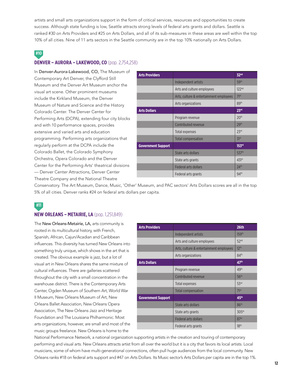artists and small arts organizations support in the form of critical services, resources and opportunities to create success. Although state funding is low, Seattle attracts strong levels of federal arts grants and dollars. Seattle is ranked #30 on Arts Providers and #25 on Arts Dollars, and all of its sub-measures in these areas are well within the top 10% of all cities. Nine of 11 arts sectors in the Seattle community are in the top 10% nationally on Arts Dollars.

### **#10**

### **DENVER – AURORA – LAKEWOOD, CO** (pop. 2,754,258)

In Denver-Aurora-Lakewood, CO, The Museum of Contemporary Art Denver, the Clyfford Still Museum and the Denver Art Museum anchor the visual art scene. Other prominent museums include the Kirkland Museum, the Denver Museum of Nature and Science and the History Colorado Center. The Denver Center for Performing Arts (DCPA), extending four city blocks and with 10 performance spaces, provides extensive and varied arts and education programming. Performing arts organizations that regularly perform at the DCPA include the Colorado Ballet, the Colorado Symphony Orchestra, Opera Colorado and the Denver Center for the Performing Arts' theatrical divisions — Denver Center Attractions, Denver Center Theatre Company and the National Theatre

| <b>Arts Providers</b>     |                                         | 32 <sup>nd</sup>    |
|---------------------------|-----------------------------------------|---------------------|
|                           | Independent artists                     | 59th                |
|                           | Arts and culture employees              | 122 <sup>nd</sup>   |
|                           | Arts, culture & entertainment employees | 71 <sup>st</sup>    |
|                           | Arts organizations                      | 89 <sup>th</sup>    |
| <b>Arts Dollars</b>       |                                         | 23 <sup>rd</sup>    |
|                           | Program revenue                         | 20 <sup>th</sup>    |
|                           | Contributed revenue                     | 29th                |
|                           | Total expenses                          | 23 <sup>rd</sup>    |
|                           | <b>Total compensation</b>               | 31 <sup>st</sup>    |
| <b>Government Support</b> |                                         | 153 <sup>rd</sup>   |
|                           | State arts dollars                      | 537th               |
|                           | State arts grants                       | $431$ <sup>st</sup> |
|                           | <b>Federal arts dollars</b>             | 24 <sup>th</sup>    |
|                           | Federal arts grants                     | 94th                |

Conservatory. The Art Museum, Dance, Music, 'Other' Museum, and PAC sectors' Arts Dollars scores are all in the top 5% of all cities. Denver ranks #24 on federal arts dollars per capita.

### **#11**

#### **NEW ORLEANS – METAIRIE, LA** (pop. 1,251,849)

The New Orleans-Metairie, LA, arts community is rooted in its multicultural history, with French, Spanish, African, Cajun/Acadian and Caribbean influences. This diversity has turned New Orleans into something truly unique, which shows in the art that is created. The obvious example is jazz, but a lot of visual art in New Orleans shares the same mixture of cultural influences. There are galleries scattered throughout the city with a small concentration in the warehouse district. There is the Contemporary Arts Center, Ogden Museum of Southern Art, World War II Museum, New Orleans Museum of Art, New Orleans Ballet Association, New Orleans Opera Association, The New Orleans Jazz and Heritage Foundation and The Louisiana Philharmonic. Most arts organizations, however, are small and most of the music groups freelance. New Orleans is home to the

| <b>Arts Providers</b>     |                                         | 26th              |
|---------------------------|-----------------------------------------|-------------------|
|                           | Independent artists                     | 159 <sup>th</sup> |
|                           | Arts and culture employees              | 52 <sup>nd</sup>  |
|                           | Arts, culture & entertainment employees | 12 <sup>th</sup>  |
|                           | Arts organizations                      | 84th              |
| <b>Arts Dollars</b>       |                                         | 47 <sup>th</sup>  |
|                           | Program revenue                         | 49th              |
|                           | Contributed revenue                     | 56 <sup>th</sup>  |
|                           | Total expenses                          | 53rd              |
|                           | <b>Total compensation</b>               | 71 <sup>st</sup>  |
| <b>Government Support</b> |                                         | 45 <sup>th</sup>  |
|                           | State arts dollars                      | 86 <sup>th</sup>  |
|                           | State arts grants                       | 305 <sup>th</sup> |
|                           | <b>Federal arts dollars</b>             | 87th              |
|                           | Federal arts grants                     | 18 <sup>th</sup>  |

National Performance Network, a national organization supporting artists in the creation and touring of contemporary performing and visual arts. New Orleans attracts artist from all over the world but it is a city that favors its local artists. Local musicians, some of whom have multi-generational connections, often pull huge audiences from the local community. New Orleans ranks #18 on federal arts support and #47 on Arts Dollars. Its Music sector's Arts Dollars per capita are in the top 1%.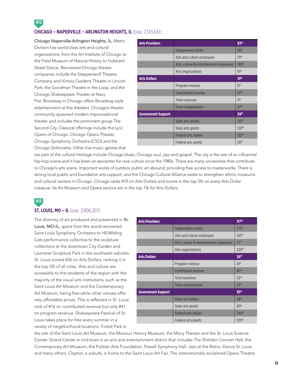### **#12 CHICAGO – NAPERVILLE – ARLINGTON HEIGHTS, IL** (pop. 7,343,641)

Chicago-Naperville-Arlington Heights, IL, Metro Division has world-class arts and cultural organizations, from the Art Institute of Chicago to the Field Museum of Natural History to Hubbard Street Dance. Renowned Chicago theater companies include the Steppenwolf Theatre Company and Victory Gardens Theater in Lincoln Park; the Goodman Theatre in the Loop; and the Chicago Shakespeare Theater at Navy Pier. Broadway in Chicago offers Broadway-style entertainment at five theaters. Chicago's theater community spawned modern improvisational theater and includes the prominent group The Second City. Classical offerings include the Lyric Opera of Chicago, Chicago Opera Theater, Chicago Symphony Orchestra (CSO) and the Chicago Sinfonietta. Other live-music genres that

| <b>Arts Providers</b>     |                                         | 93rd              |
|---------------------------|-----------------------------------------|-------------------|
|                           | Independent artists                     | 96 <sup>th</sup>  |
|                           | Arts and culture employees              | 111 <sup>th</sup> |
|                           | Arts, culture & entertainment employees | 199 <sup>th</sup> |
|                           | Arts organizations                      | 81 <sup>st</sup>  |
| <b>Arts Dollars</b>       |                                         | 10 <sup>th</sup>  |
|                           | Program revenue                         | 8 <sup>th</sup>   |
|                           | Contributed revenue                     | 33rd              |
|                           | Total expenses                          | <b>gth</b>        |
|                           | <b>Total compensation</b>               | 10 <sup>th</sup>  |
| <b>Government Support</b> |                                         | 59 <sup>th</sup>  |
|                           | State arts dollars                      | 155 <sup>th</sup> |
|                           | State arts grants                       | 120 <sup>th</sup> |
|                           | Federal arts dollars                    | 123 <sup>rd</sup> |
|                           | Federal arts grants                     | 50 <sup>th</sup>  |

are part of the cultural heritage include Chicago blues, Chicago soul, jazz and gospel. The city is the site of an influential hip-hop scene and it has been an epicenter for rave culture since the 1980s. There are many universities that contribute to Chicago's arts scene. Important works of outdoor public art abound, providing free access to masterworks. There is strong local public and foundation arts support, and the Chicago Cultural Alliance exists to strengthen ethnic museums and cultural centers in Chicago. Chicago ranks #10 on Arts Dollars and scores in the top 5% on every Arts Dollar measure. Its Art Museum and Opera sectors are in the top 1% for Arts Dollars.

### **#13**

### **ST. LOUIS, MO – IL** (pop. 2,806,207)

The diversity of art produced and presented in St. Louis, MO-IL, spans from the world-renowned Saint Louis Symphony Orchestra to HEARding Cats performance collective to the sculpture collections at the downtown City Garden and Laumeier Sculpture Park in the southwest suburbs. St. Louis scored #26 on Arts Dollars, ranking it in the top 5% of all cities. Arts and culture are accessible to the residents of the region with the majority of the visual arts institutions, such as the Saint Louis Art Museum and the Contemporary Art Museum, being free while other venues offer very affordable prices. This is reflected in St. Louis' rank of #16 on contributed revenue but only #41 on program revenue. Shakespeare Festival of St. Louis takes place for free every summer in a variety of neighborhood locations. Forest Park is

| <b>Arts Providers</b>     |                                         | 117 <sup>th</sup> |
|---------------------------|-----------------------------------------|-------------------|
|                           | Independent artists                     | 275th             |
|                           | Arts and culture employees              | 120 <sup>th</sup> |
|                           | Arts, culture & entertainment employees | 77th              |
|                           | Arts organizations                      | 220 <sup>th</sup> |
| <b>Arts Dollars</b>       |                                         | 26 <sup>th</sup>  |
|                           | Program revenue                         | 41 <sup>st</sup>  |
|                           | Contributed revenue                     | 16 <sup>th</sup>  |
|                           | Total expenses                          | 32 <sup>nd</sup>  |
|                           | <b>Total compensation</b>               | 23 <sup>rd</sup>  |
| <b>Government Support</b> |                                         | 55 <sup>th</sup>  |
|                           | State arts dollars                      | 48 <sup>th</sup>  |
|                           | State arts grants                       | 80 <sup>th</sup>  |
|                           | Federal arts dollars                    | 244th             |
|                           | Federal arts grants                     | 109th             |

the site of the Saint Louis Art Museum, the Missouri History Museum, the Muny Theater and the St. Louis Science Center. Grand Center in mid-town is an arts and entertainment district that includes The Sheldon Concert Hall, the Contemporary Art Museum, the Pulitzer Arts Foundation, Powell Symphony Hall, Jazz at the Bistro, Dance St. Louis and many others. Clayton, a suburb, is home to the Saint Louis Art Fair. The internationally acclaimed Opera Theatre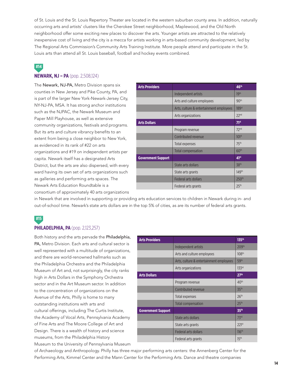of St. Louis and the St. Louis Repertory Theater are located in the western suburban county area. In addition, naturally occurring arts and artists' clusters like the Cherokee Street neighborhood, Maplewood, and the Old North neighborhood offer some exciting new places to discover the arts. Younger artists are attracted to the relatively inexpensive cost of living and the city is a mecca for artists working in arts-based community development, led by The Regional Arts Commission's Community Arts Training Institute. More people attend and participate in the St. Louis arts than attend all St. Louis baseball, football and hockey events combined.

### **#14 NEWARK, NJ – PA** (pop. 2,508,124)

The Newark, NJ-PA, Metro Division spans six counties in New Jersey and Pike County, PA, and is part of the larger New York-Newark-Jersey City, NY-NJ-PA, MSA. It has strong anchor institutions such as the NJPAC, the Newark Museum and Paper Mill Playhouse, as well as extensive community organizations, festivals and programs. But its arts and culture vibrancy benefits to an extent from being a close neighbor to New York, as evidenced in its rank of #22 on arts organizations and #19 on independent artists per capita. Newark itself has a designated Arts District, but the arts are also dispersed, with every ward having its own set of arts organizations such as galleries and performing arts spaces. The Newark Arts Education Roundtable is a consortium of approximately 40 arts organizations

|                                         | 46 <sup>th</sup>    |
|-----------------------------------------|---------------------|
| Independent artists                     | 19th                |
| Arts and culture employees              | 90 <sup>th</sup>    |
| Arts, culture & entertainment employees | $189$ <sup>st</sup> |
| Arts organizations                      | 22 <sub>nd</sub>    |
|                                         | 71 <sup>st</sup>    |
| Program revenue                         | 72 <sub>nd</sub>    |
| Contributed revenue                     | 101 <sup>st</sup>   |
| Total expenses                          | 75th                |
| <b>Total compensation</b>               | 60 <sup>th</sup>    |
|                                         | 41 <sup>st</sup>    |
| State arts dollars                      | 38 <sup>th</sup>    |
| State arts grants                       | 149th               |
| <b>Federal arts dollars</b>             | 250 <sup>th</sup>   |
| Federal arts grants                     | 25 <sup>th</sup>    |
|                                         |                     |

in Newark that are involved in supporting or providing arts education services to children in Newark during in- and out-of-school time. Newark's state arts dollars are in the top 5% of cities, as are its number of federal arts grants.

### **#15**

#### **PHILADELPHIA, PA** (pop. 2,123,257)

Both history and the arts pervade the Philadelphia, PA, Metro Division. Each arts and cultural sector is well represented with a multitude of organizations, and there are world-renowned hallmarks such as the Philadelphia Orchestra and the Philadelphia Museum of Art and, not surprisingly, the city ranks high in Arts Dollars in the Symphony Orchestra sector and in the Art Museum sector. In addition to the concentration of organizations on the Avenue of the Arts, Philly is home to many outstanding institutions with arts and cultural offerings, including The Curtis Institute, the Academy of Vocal Arts, Pennsylvania Academy of Fine Arts and The Moore College of Art and Design. There is a wealth of history and science museums, from the Philadelphia History Museum to the University of Pennsylvania Museum

| <b>Arts Providers</b>     |                                         | $135^{th}$        |
|---------------------------|-----------------------------------------|-------------------|
|                           | Independent artists                     | 209th             |
|                           | Arts and culture employees              | 108 <sup>th</sup> |
|                           | Arts, culture & entertainment employees | 59 <sup>th</sup>  |
|                           | Arts organizations                      | 133 <sup>rd</sup> |
| <b>Arts Dollars</b>       |                                         | 27 <sup>th</sup>  |
|                           | Program revenue                         | 40 <sup>th</sup>  |
|                           | Contributed revenue                     | 35 <sup>th</sup>  |
|                           | Total expenses                          | 26 <sup>th</sup>  |
|                           | <b>Total compensation</b>               | 25 <sup>th</sup>  |
| <b>Government Support</b> |                                         | 35 <sup>th</sup>  |
|                           | State arts dollars                      | 73 <sup>rd</sup>  |
|                           | State arts grants                       | 221 <sup>st</sup> |
|                           | Federal arts dollars                    | 116 <sup>th</sup> |
|                           | Federal arts grants                     | 15 <sup>th</sup>  |

of Archaeology and Anthropology. Philly has three major performing arts centers: the Annenberg Center for the Performing Arts, Kimmel Center and the Mann Center for the Performing Arts. Dance and theatre companies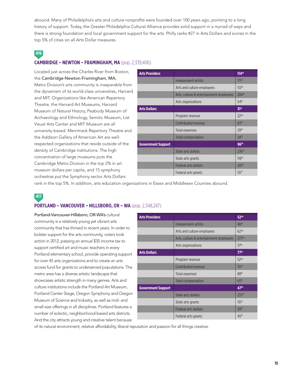abound. Many of Philadelphia's arts and culture nonprofits were founded over 100 years ago, pointing to a long history of support. Today, the Greater Philadelphia Cultural Alliance provides solid support in a myriad of ways and there is strong foundation and local government support for the arts. Philly ranks #27 in Arts Dollars and scores in the top 5% of cities on all Arts Dollar measures.

### **#16**

### **CAMBRIDGE – NEWTON – FRAMINGHAM, MA** (pop. 2,339,406)

Located just across the Charles River from Boston, the Cambridge-Newton-Framingham, MA, Metro Division's arts community is inseparable from the dynamism of its world-class universities, Harvard and MIT. Organizations like American Repertory Theatre, the Harvard Art Museums, Harvard Museum of Natural History, Peabody Museum of Archaeology and Ethnology, Semitic Museum, List Visual Arts Center and MIT Museum are all university-based. Merrimack Repertory Theatre and the Addison Gallery of American Art are wellrespected organizations that reside outside of the density of Cambridge institutions. The high concentration of large museums puts the Cambridge Metro Division in the top 2% in art museum dollars per capita, and 15 symphony orchestras put the Symphony sector Arts Dollars

| <b>Arts Providers</b>     |                                         | 114th             |
|---------------------------|-----------------------------------------|-------------------|
|                           | Independent artists                     | 171 <sup>st</sup> |
|                           | Arts and culture employees              | 112 <sup>th</sup> |
|                           | Arts, culture & entertainment employees | 284th             |
|                           | Arts organizations                      | 54th              |
| <b>Arts Dollars</b>       |                                         | 31 <sup>st</sup>  |
|                           | Program revenue                         | 22 <sub>nd</sub>  |
|                           | Contributed revenue                     | 63 <sup>rd</sup>  |
|                           | Total expenses                          | 29th              |
|                           | Total compensation                      | 24 <sup>th</sup>  |
| <b>Government Support</b> |                                         | 96 <sup>th</sup>  |
|                           | State arts dollars                      | 276th             |
|                           | State arts grants                       | 119 <sup>th</sup> |
|                           | <b>Federal arts dollars</b>             | 201 <sup>st</sup> |
|                           | Federal arts grants                     | 55 <sup>th</sup>  |
|                           |                                         |                   |

rank in the top 5%. In addition, arts education organizations in Essex and Middlesex Counties abound.

**#17**

### **PORTLAND – VANCOUVER – HILLSBORO, OR – WA** (pop. 2,348,247)

Portland-Vancouver-Hillsboro, OR-WA's cultural community is a relatively young yet vibrant arts community that has thrived in recent years. In order to bolster support for the arts community, voters took action in 2012, passing an annual \$35 income tax to support certified art and music teachers in every Portland elementary school, provide operating support for over 45 arts organizations and to create an arts access fund for grants to underserved populations. The metro area has a diverse artistic landscape that showcases artistic strength in many genres. Arts and culture institutions include the Portland Art Museum, Portland Center Stage, Oregon Symphony and Oregon Museum of Science and Industry, as well as mid- and small-size offerings in all disciplines. Portland features a number of eclectic, neighborhood-based arts districts. And the city attracts young and creative talent because

| <b>Arts Providers</b>     |                                         | 52 <sup>nd</sup>  |
|---------------------------|-----------------------------------------|-------------------|
|                           | Independent artists                     | 46 <sup>th</sup>  |
|                           | Arts and culture employees              | 62 <sup>nd</sup>  |
|                           | Arts, culture & entertainment employees | 277th             |
|                           | Arts organizations                      | 37 <sup>th</sup>  |
| <b>Arts Dollars</b>       |                                         | 77 <sup>th</sup>  |
|                           | Program revenue                         | 52 <sup>nd</sup>  |
|                           | Contributed revenue                     | 151 <sup>st</sup> |
|                           | Total expenses                          | 88 <sup>th</sup>  |
|                           | <b>Total compensation</b>               | 65 <sup>th</sup>  |
| <b>Government Support</b> |                                         | 47 <sup>th</sup>  |
|                           | State arts dollars                      | 237th             |
|                           | State arts grants                       | 151 <sup>st</sup> |
|                           | <b>Federal arts dollars</b>             | 29 <sup>th</sup>  |
|                           | Federal arts grants                     | 45th              |

of its natural environment, relative affordability, liberal reputation and passion for all things creative.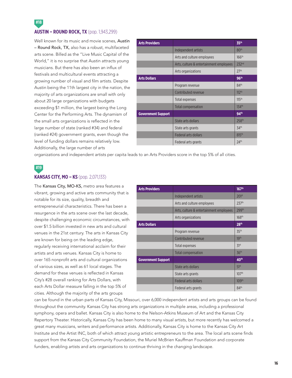**AUSTIN – ROUND ROCK, TX** (pop. 1,943,299)

Well known for its music and movie scenes, Austin – Round Rock, TX, also has a robust, multifaceted arts scene. Billed as the "Live Music Capital of the World," it is no surprise that Austin attracts young musicians. But there has also been an influx of festivals and multicultural events attracting a growing number of visual and film artists. Despite Austin being the 11th largest city in the nation, the majority of arts organizations are small with only about 20 large organizations with budgets exceeding \$1 million, the largest being the Long Center for the Performing Arts. The dynamism of the small arts organizations is reflected in the large number of state (ranked #34) and federal (ranked #24) government grants, even though the level of funding dollars remains relatively low. Additionally, the large number of arts

| <b>Arts Providers</b>     |                                         | 35 <sup>th</sup>    |
|---------------------------|-----------------------------------------|---------------------|
|                           | Independent artists                     | 80 <sup>th</sup>    |
|                           | Arts and culture employees              | 166 <sup>th</sup>   |
|                           | Arts, culture & entertainment employees | 232 <sup>nd</sup>   |
|                           | Arts organizations                      | 27 <sup>th</sup>    |
| <b>Arts Dollars</b>       |                                         | 96 <sup>th</sup>    |
|                           | Program revenue                         | 84th                |
|                           | Contributed revenue                     | 112 <sup>th</sup>   |
|                           | Total expenses                          | 115 <sup>th</sup>   |
|                           | <b>Total compensation</b>               | $134$ <sup>th</sup> |
| <b>Government Support</b> |                                         | 94 <sup>th</sup>    |
|                           | State arts dollars                      | 258 <sup>th</sup>   |
|                           | State arts grants                       | 34th                |
|                           | <b>Federal arts dollars</b>             | 815th               |
|                           | Federal arts grants                     | 24 <sup>th</sup>    |

organizations and independent artists per capita leads to an Arts Providers score in the top 5% of all cities.

### **#19**

**#18**

#### **KANSAS CITY, MO – KS** (pop. 2,071,133)

The Kansas City, MO-KS, metro area features a vibrant, growing and active arts community that is notable for its size, quality, breadth and entrepreneurial characteristics. There has been a resurgence in the arts scene over the last decade, despite challenging economic circumstances, with over \$1.5 billion invested in new arts and cultural venues in the 21st century. The arts in Kansas City are known for being on the leading edge, regularly receiving international acclaim for their artists and arts venues. Kansas City is home to over 165 nonprofit arts and cultural organizations of various sizes, as well as 61 local stages. The demand for these venues is reflected in Kansas City's #28 overall ranking for Arts Dollars, with each Arts Dollar measure falling in the top 5% of cities. Although the majority of the arts groups

| <b>Arts Providers</b>     |                                         | 167 <sup>th</sup> |
|---------------------------|-----------------------------------------|-------------------|
|                           | Independent artists                     | 201 <sup>st</sup> |
|                           | Arts and culture employees              | 237th             |
|                           | Arts, culture & entertainment employees | 299th             |
|                           | Arts organizations                      | 168 <sup>th</sup> |
| <b>Arts Dollars</b>       |                                         | 28 <sup>th</sup>  |
|                           | Program revenue                         | 35 <sup>th</sup>  |
|                           | Contributed revenue                     | 19 <sup>th</sup>  |
|                           | Total expenses                          | 31 <sup>st</sup>  |
|                           | <b>Total compensation</b>               | 36 <sup>th</sup>  |
| <b>Government Support</b> |                                         | 40 <sup>th</sup>  |
|                           | State arts dollars                      | 51 <sup>st</sup>  |
|                           | State arts grants                       | 107 <sup>th</sup> |
|                           | <b>Federal arts dollars</b>             | 109th             |
|                           | Federal arts grants                     | 84th              |

can be found in the urban parts of Kansas City, Missouri, over 6,000 independent artists and arts groups can be found throughout the community. Kansas City has strong arts organizations in multiple areas, including a professional symphony, opera and ballet. Kansas City is also home to the Nelson-Atkins Museum of Art and the Kansas City Repertory Theater. Historically, Kansas City has been home to many visual artists, but more recently has welcomed a great many musicians, writers and performance artists. Additionally, Kansas City is home to the Kansas City Art Institute and the Artist INC, both of which attract young artistic entrepreneurs to the area. The local arts scene finds support from the Kansas City Community Foundation, the Muriel McBrien Kauffman Foundation and corporate funders, enabling artists and arts organizations to continue thriving in the changing landscape.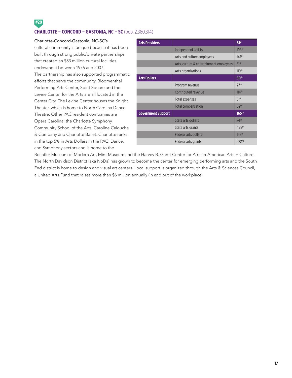### **#20 CHARLOTTE – CONCORD – GASTONIA, NC – SC** (pop. 2,380,314)

#### Charlotte-Concord-Gastonia, NC-SC's

cultural community is unique because it has been built through strong public/private partnerships that created an \$83 million cultural facilities endowment between 1976 and 2007.

The partnership has also supported programmatic efforts that serve the community. Bloomenthal Performing Arts Center, Spirit Square and the Levine Center for the Arts are all located in the Center City. The Levine Center houses the Knight Theater, which is home to North Carolina Dance Theatre. Other PAC resident companies are Opera Carolina, the Charlotte Symphony, Community School of the Arts, Caroline Calouche & Company and Charlotte Ballet. Charlotte ranks in the top 5% in Arts Dollars in the PAC, Dance, and Symphony sectors and is home to the

| <b>Arts Providers</b>     |                                         | 81st              |
|---------------------------|-----------------------------------------|-------------------|
|                           | Independent artists                     | 198 <sup>th</sup> |
|                           | Arts and culture employees              | 147th             |
|                           | Arts, culture & entertainment employees | 51 <sup>st</sup>  |
|                           | Arts organizations                      | 119 <sup>th</sup> |
| <b>Arts Dollars</b>       |                                         | 50 <sup>th</sup>  |
|                           | Program revenue                         | 27 <sup>th</sup>  |
|                           | Contributed revenue                     | 114th             |
|                           | Total expenses                          | 51 <sup>st</sup>  |
|                           | <b>Total compensation</b>               | 62 <sup>nd</sup>  |
| <b>Government Support</b> |                                         | $165^{th}$        |
|                           | State arts dollars                      | 74 <sup>th</sup>  |
|                           | State arts grants                       | 498 <sup>th</sup> |
|                           | <b>Federal arts dollars</b>             | 149th             |
|                           | Federal arts grants                     | 222 <sup>nd</sup> |

Bechtler Museum of Modern Art, Mint Museum and the Harvey B. Gantt Center for African-American Arts + Culture. The North Davidson District (aka NoDa) has grown to become the center for emerging performing arts and the South End district is home to design and visual art centers. Local support is organized through the Arts & Sciences Council, a United Arts Fund that raises more than \$6 million annually (in and out of the workplace).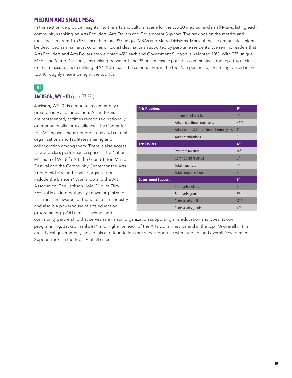### **MEDIUM AND SMALL MSAs**

In this section we provide insights into the arts and cultural scene for the top 20 medium and small MSAs, listing each community's ranking on Arts Providers, Arts Dollars and Government Support. The rankings on the metrics and measures are from 1 to 937 since there are 937 unique MSAs and Metro Divisions. Many of these communities might be described as small artist colonies or tourist destinations supported by part-time residents. We remind readers that Arts Providers and Arts Dollars are weighted 45% each and Government Support is weighted 10%. With 937 unique MSAs and Metro Divisions, any ranking between 1 and 93 on a measure puts that community in the top 10% of cities on that measure, and a ranking of 94-187 means the community is in the top 20th percentile, etc. Being ranked in the top 10 roughly means being in the top 1%.

**#1**

### **JACKSON, WY – ID** (pop. 33,271)

Jackson, WY-ID, is a mountain community of great beauty and innovation. All art forms are represented, at times recognized nationally or internationally for excellence. The Center for the Arts houses many nonprofit arts and cultural organizations and facilitates sharing and collaboration among them. There is also access to world-class performance spaces, The National Museum of Wildlife Art, the Grand Teton Music Festival and the Community Center for the Arts. Strong mid-size and smaller organizations include the Dancers' Workshop and the Art Association. The Jackson Hole Wildlife Film Festival is an internationally known organization that runs film awards for the wildlife film industry and also is a powerhouse of arts education programming. pARTners is a school and

| <b>Arts Providers</b>     |                                         | 1st               |
|---------------------------|-----------------------------------------|-------------------|
|                           | Independent artists                     | 5 <sup>th</sup>   |
|                           | Arts and culture employees              | 347th             |
|                           | Arts, culture & entertainment employees | 7 <sup>th</sup>   |
|                           | Arts organizations                      | 5 <sup>th</sup>   |
| <b>Arts Dollars</b>       |                                         | 4 <sup>th</sup>   |
|                           | Program revenue                         | 14 <sup>th</sup>  |
|                           | Contributed revenue                     | 6 <sup>th</sup>   |
|                           | Total expenses                          | 2 <sub>nd</sub>   |
|                           | <b>Total compensation</b>               | 7 <sup>th</sup>   |
| <b>Government Support</b> |                                         | 8 <sup>th</sup>   |
|                           | State arts dollars                      | 12 <sup>th</sup>  |
|                           | State arts grants                       | $\zeta$ rd        |
|                           | <b>Federal arts dollars</b>             | 171 <sup>st</sup> |
|                           | Federal arts grants                     | 49th              |

community partnership that serves as a liaison organization supporting arts education and does its own programming. Jackson ranks #14 and higher on each of the Arts Dollar metrics and in the top 1% overall in this area. Local government, individuals and foundations are very supportive with funding, and overall Government Support ranks in the top 1% of all cities.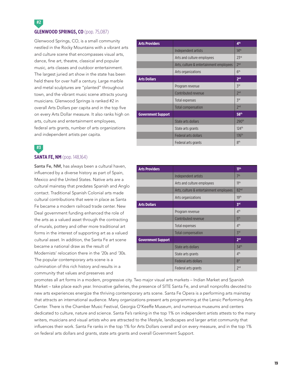### **#2 GLENWOOD SPRINGS, CO** (pop. 75,087)

Glenwood Springs, CO, is a small community nestled in the Rocky Mountains with a vibrant arts and culture scene that encompasses visual arts, dance, fine art, theatre, classical and popular music, arts classes and outdoor entertainment. The largest juried art show in the state has been held there for over half a century. Large marble and metal sculptures are "planted" throughout town, and the vibrant music scene attracts young musicians. Glenwood Springs is ranked #2 in overall Arts Dollars per capita and in the top five on every Arts Dollar measure. It also ranks high on arts, culture and entertainment employees, federal arts grants, number of arts organizations and independent artists per capita.

### **SANTA FE, NM** (pop. 148,164)

Santa Fe, NM, has always been a cultural haven, influenced by a diverse history as part of Spain, Mexico and the United States. Native arts are a cultural mainstay that predates Spanish and Anglo contact. Traditional Spanish Colonial arts made cultural contributions that were in place as Santa Fe became a modern railroad trade center. New Deal government funding enhanced the role of the arts as a valued asset through the contracting of murals, pottery and other more traditional art forms in the interest of supporting art as a valued cultural asset. In addition, the Santa Fe art scene became a national draw as the result of Modernists' relocation there in the '20s and '30s. The popular contemporary arts scene is a culmination of this rich history and results in a community that values and preserves and

| <b>Arts Providers</b>     |                                         | 4 <sup>th</sup>            |
|---------------------------|-----------------------------------------|----------------------------|
|                           | Independent artists                     | 14 <sup>th</sup>           |
|                           | Arts and culture employees              | 23 <sup>rd</sup>           |
|                           | Arts, culture & entertainment employees | 2 <sub>nd</sub>            |
|                           | Arts organizations                      | 6 <sup>th</sup>            |
| <b>Arts Dollars</b>       |                                         | 2 <sub>nd</sub>            |
|                           | Program revenue                         | $\zeta$ rd                 |
|                           | Contributed revenue                     | 2 <sub>nd</sub>            |
|                           | Total expenses                          | $\mathsf{Z}^{\mathsf{rd}}$ |
|                           | <b>Total compensation</b>               | 2 <sub>nd</sub>            |
| <b>Government Support</b> |                                         | 58 <sup>th</sup>           |
|                           | State arts dollars                      | 290 <sup>th</sup>          |
|                           | State arts grants                       | 124th                      |
|                           | <b>Federal arts dollars</b>             | 176 <sup>th</sup>          |
|                           | Federal arts grants                     | 8 <sup>th</sup>            |

| <b>Arts Providers</b>     |                                         | 11 <sup>th</sup> |
|---------------------------|-----------------------------------------|------------------|
|                           | Independent artists                     | 7 <sup>th</sup>  |
|                           | Arts and culture employees              | 11 <sup>th</sup> |
|                           | Arts, culture & entertainment employees | 82 <sup>nd</sup> |
|                           | Arts organizations                      | 19 <sup>th</sup> |
| <b>Arts Dollars</b>       |                                         | 3rd              |
|                           | Program revenue                         | 4 <sup>th</sup>  |
|                           | Contributed revenue                     | 5 <sup>th</sup>  |
|                           | Total expenses                          | 4 <sup>th</sup>  |
|                           | Total compensation                      | Zrd              |
| <b>Government Support</b> |                                         | 2 <sub>nd</sub>  |
|                           | State arts dollars                      | 34th             |
|                           | State arts grants                       | 4 <sup>th</sup>  |
|                           | Federal arts dollars                    | 8st              |
|                           | Federal arts grants                     | 2 <sub>nd</sub>  |

promotes all art forms in a modern, progressive city. Two major visual arts markets – Indian Market and Spanish Market – take place each year. Innovative galleries, the presence of SITE Santa Fe, and small nonprofits devoted to new arts experiences energize the thriving contemporary arts scene. Santa Fe Opera is a performing arts mainstay that attracts an international audience. Many organizations present arts programming at the Lensic Performing Arts Center. There is the Chamber Music Festival, Georgia O'Keeffe Museum, and numerous museums and centers dedicated to culture, nature and science. Santa Fe's ranking in the top 1% on independent artists attests to the many writers, musicians and visual artists who are attracted to the lifestyle, landscapes and larger artist community that influences their work. Santa Fe ranks in the top 1% for Arts Dollars overall and on every measure, and in the top 1% on federal arts dollars and grants, state arts grants and overall Government Support.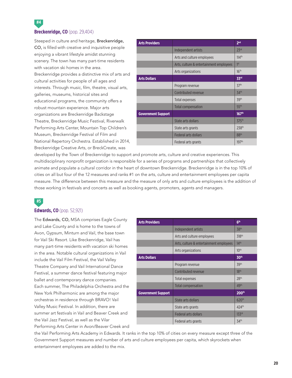### **Breckenridge, CO** (pop. 29,404)

**#4**

Steeped in culture and heritage, Breckenridge, CO, is filled with creative and inquisitive people enjoying a vibrant lifestyle amidst stunning scenery. The town has many part-time residents with vacation ski homes in the area. Breckenridge provides a distinctive mix of arts and cultural activities for people of all ages and interests. Through music, film, theatre, visual arts, galleries, museums, historical sites and educational programs, the community offers a robust mountain experience. Major arts organizations are Breckenridge Backstage Theatre, Breckenridge Music Festival, Riverwalk Performing Arts Center, Mountain Top Children's Museum, Breckenridge Festival of Film and National Repertory Orchestra. Established in 2014, Breckenridge Creative Arts, or BreckCreate, was

| <b>Arts Providers</b>     |                                         | 2 <sub>nd</sub>   |
|---------------------------|-----------------------------------------|-------------------|
|                           | Independent artists                     | 23 <sup>rd</sup>  |
|                           | Arts and culture employees              | 114th             |
|                           | Arts, culture & entertainment employees | 1 <sup>st</sup>   |
|                           | Arts organizations                      | 16 <sup>th</sup>  |
| <b>Arts Dollars</b>       |                                         | 33rd              |
|                           | Program revenue                         | 37 <sup>th</sup>  |
|                           | Contributed revenue                     | 34 <sup>th</sup>  |
|                           | Total expenses                          | 39th              |
|                           | <b>Total compensation</b>               | 55 <sup>th</sup>  |
| <b>Government Support</b> |                                         | 167 <sup>th</sup> |
|                           | State arts dollars                      | 375th             |
|                           | State arts grants                       | 238 <sup>th</sup> |
|                           | <b>Federal arts dollars</b>             | 88 <sup>th</sup>  |
|                           | Federal arts grants                     | 197 <sup>th</sup> |

developed by the Town of Breckenridge to support and promote arts, culture and creative experiences. This multidisciplinary nonprofit organization is responsible for a series of programs and partnerships that collectively animate and populate a cultural corridor in the heart of downtown Breckenridge. Breckenridge is in the top 10% of cities on all but four of the 12 measures and ranks #1 on the arts, culture and entertainment employees per capita measure. The difference between this measure and the measure of only arts and culture employees is the addition of those working in festivals and concerts as well as booking agents, promoters, agents and managers.

### **#5**

#### **Edwards, CO** (pop. 52,921)

The Edwards, CO, MSA comprises Eagle County and Lake County and is home to the towns of Avon, Gypsum, Minturn and Vail, the base town for Vail Ski Resort. Like Breckenridge, Vail has many part-time residents with vacation ski homes in the area. Notable cultural organizations in Vail include the Vail Film Festival, the Vail Valley Theatre Company and Vail International Dance Festival, a summer dance festival featuring major ballet and contemporary dance companies. Each summer, The Philadelphia Orchestra and the New York Philharmonic are among the major orchestras in residence through BRAVO! Vail Valley Music Festival. In addition, there are summer art festivals in Vail and Beaver Creek and the Vail Jazz Festival, as well as the Vilar Performing Arts Center in Avon/Beaver Creek and

| <b>Arts Providers</b>     |                                         | 6 <sup>th</sup>   |
|---------------------------|-----------------------------------------|-------------------|
|                           | Independent artists                     | 38th              |
|                           | Arts and culture employees              | 318 <sup>th</sup> |
|                           | Arts, culture & entertainment employees | 14 <sup>th</sup>  |
|                           | Arts organizations                      | 10 <sup>th</sup>  |
| <b>Arts Dollars</b>       |                                         | 30 <sup>th</sup>  |
|                           | Program revenue                         | 39th              |
|                           | Contributed revenue                     | 18 <sup>th</sup>  |
|                           | Total expenses                          | 28 <sup>th</sup>  |
|                           | <b>Total compensation</b>               | 49th              |
| <b>Government Support</b> |                                         | 200th             |
|                           | State arts dollars                      | 620 <sup>th</sup> |
|                           | State arts grants                       | 424th             |
|                           | Federal arts dollars                    | 133 <sup>rd</sup> |
|                           | Federal arts grants                     | 34th              |

the Vail Performing Arts Academy in Edwards. It ranks in the top 10% of cities on every measure except three of the Government Support measures and number of arts and culture employees per capita, which skyrockets when entertainment employees are added to the mix.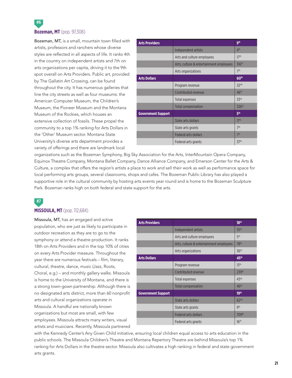### **Bozeman, MT** (pop. 97,308)

**#6**

Bozeman, MT, is a small, mountain town filled with artists, professors and ranchers whose diverse styles are reflected in all aspects of life. It ranks 4th in the country on independent artists and 7th on arts organizations per capita, driving it to the 9th spot overall on Arts Providers. Public art, provided by The Gallatin Art Crossing, can be found throughout the city. It has numerous galleries that line the city streets as well as four museums: the American Computer Museum, the Children's Museum, the Pioneer Museum and the Montana Museum of the Rockies, which houses an extensive collection of fossils. These propel the community to a top 1% ranking for Arts Dollars in the 'Other' Museum sector. Montana State University's diverse arts department provides a variety of offerings and there are landmark local

| <b>Arts Providers</b>     |                                         | <b>gth</b>       |
|---------------------------|-----------------------------------------|------------------|
|                           | Independent artists                     | 4 <sup>th</sup>  |
|                           | Arts and culture employees              | 17 <sup>th</sup> |
|                           | Arts, culture & entertainment employees | 316th            |
|                           | Arts organizations                      | 7 <sup>th</sup>  |
| <b>Arts Dollars</b>       |                                         | 60 <sup>th</sup> |
|                           | Program revenue                         | 32 <sup>nd</sup> |
|                           | Contributed revenue                     | 46 <sup>th</sup> |
|                           | Total expenses                          | 33rd             |
|                           | <b>Total compensation</b>               | 326th            |
| <b>Government Support</b> |                                         | 5 <sup>th</sup>  |
|                           | State arts dollars                      | 17 <sup>th</sup> |
|                           | State arts grants                       | 7 <sup>th</sup>  |
|                           | <b>Federal arts dollars</b>             | 7 <sup>th</sup>  |
|                           | Federal arts grants                     | 37 <sup>th</sup> |

organizations such as the Bozeman Symphony, Big Sky Association for the Arts, InterMountain Opera Company, Equinox Theatre Company, Montana Ballet Company, Dance Alliance Company, and Emerson Center for the Arts & Culture, a complex that offers the region's artists a place to work and sell their work as well as performance space for local performing arts groups, several classrooms, shops and cafes. The Bozeman Public Library has also played a supportive role in the cultural community by hosting arts events year round and is home to the Bozeman Sculpture Park. Bozeman ranks high on both federal and state support for the arts.

### **#7**

#### **MISSOULA, MT** (pop. 112,684)

Missoula, MT, has an engaged and active population, who are just as likely to participate in outdoor recreation as they are to go to the symphony or attend a theatre production. It ranks 18th on Arts Providers and in the top 10% of cities on every Arts Provider measure. Throughout the year there are numerous festivals – film, literary, cultural, theatre, dance, music (Jazz, Roots, Choral, e.g.) – and monthly gallery walks. Missoula is home to the University of Montana, and there is a strong town-gown partnership. Although there is no designated arts district, more than 60 nonprofit arts and cultural organizations operate in Missoula. A handful are nationally known organizations but most are small, with few employees. Missoula attracts many writers, visual artists and musicians. Recently, Missoula partnered

| <b>Arts Providers</b>     |                                         | 18 <sup>th</sup> |
|---------------------------|-----------------------------------------|------------------|
|                           | Independent artists                     | 35th             |
|                           | Arts and culture employees              | 5 <sup>th</sup>  |
|                           | Arts, culture & entertainment employees | 78 <sup>th</sup> |
|                           | Arts organizations                      | 36 <sup>th</sup> |
| <b>Arts Dollars</b>       |                                         | 45 <sup>th</sup> |
|                           | Program revenue                         | 13 <sup>th</sup> |
|                           | Contributed revenue                     | 239th            |
|                           | Total expenses                          | 43rd             |
|                           | <b>Total compensation</b>               | 46 <sup>th</sup> |
| <b>Government Support</b> |                                         | 19 <sup>th</sup> |
|                           | State arts dollars                      | 62 <sup>nd</sup> |
|                           | State arts grants                       | <b>gth</b>       |
|                           | <b>Federal arts dollars</b>             | 709th            |
|                           | Federal arts grants                     | 16 <sup>th</sup> |
|                           |                                         |                  |

with the Kennedy Center's Any Given Child initiative, ensuring local children equal access to arts education in the public schools. The Missoula Children's Theatre and Montana Repertory Theatre are behind Missoula's top 1% ranking for Arts Dollars in the theatre sector. Missoula also cultivates a high ranking in federal and state government arts grants.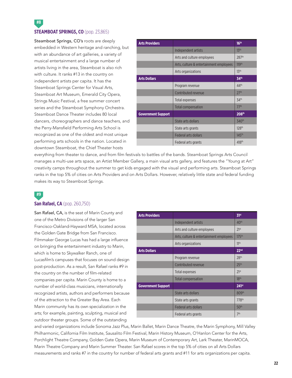### **#8 STEAMBOAT SPRINGS, CO** (pop. 23,865)

Steamboat Springs, CO's roots are deeply embedded in Western heritage and ranching, but with an abundance of art galleries, a variety of musical entertainment and a large number of artists living in the area, Steamboat is also rich with culture. It ranks #13 in the country on independent artists per capita. It has the Steamboat Springs Center for Visual Arts, Steamboat Art Museum, Emerald City Opera, Strings Music Festival, a free summer concert series and the Steamboat Symphony Orchestra. Steamboat Dance Theater includes 80 local dancers, choreographers and dance teachers, and the Perry-Mansfield Performing Arts School is recognized as one of the oldest and most unique performing arts schools in the nation. Located in downtown Steamboat, the Chief Theater hosts

| <b>Arts Providers</b>     |                                         | 16 <sup>th</sup>  |
|---------------------------|-----------------------------------------|-------------------|
|                           | Independent artists                     | 13 <sup>th</sup>  |
|                           | Arts and culture employees              | 287th             |
|                           | Arts, culture & entertainment employees | 119 <sup>th</sup> |
|                           | Arts organizations                      | 13 <sup>th</sup>  |
| <b>Arts Dollars</b>       |                                         | 34th              |
|                           | Program revenue                         | 44 <sup>th</sup>  |
|                           | Contributed revenue                     | 27 <sup>th</sup>  |
|                           | Total expenses                          | 34th              |
|                           | Total compensation                      | 77 <sup>th</sup>  |
| <b>Government Support</b> |                                         | 208th             |
|                           | State arts dollars                      | 340 <sup>th</sup> |
|                           | State arts grants                       | 128 <sup>th</sup> |
|                           | <b>Federal arts dollars</b>             | 145 <sup>th</sup> |
|                           | Federal arts grants                     | 418 <sup>th</sup> |

everything from theater to dance, and from film festivals to battles of the bands. Steamboat Springs Arts Council manages a multi-use arts space, an Artist Member Gallery, a main visual arts gallery, and features the "Young at Art" creativity camps throughout the summer to get kids engaged with the visual and performing arts. Steamboat Springs ranks in the top 5% of cities on Arts Providers and on Arts Dollars. However, relatively little state and federal funding makes its way to Steamboat Springs.

**#9**

#### **San Rafael, CA** (pop. 260,750)

San Rafael, CA, is the seat of Marin County and one of the Metro Divisions of the larger San Francisco-Oakland-Hayward MSA, located across the Golden Gate Bridge from San Francisco. Filmmaker George Lucas has had a large influence on bringing the entertainment industry to Marin, which is home to Skywalker Ranch, one of Lucasfilm's campuses that focuses on sound design post-production. As a result, San Rafael ranks #9 in the country on the number of film-related companies per capita. Marin County is home to a number of world-class musicians, internationally recognized artists, authors and performers because of the attraction to the Greater Bay Area. Each Marin community has its own specialization in the arts; for example, painting, sculpting, musical and outdoor theater groups. Some of the outstanding

| <b>Arts Providers</b>     |                                         | 31 <sup>st</sup>  |
|---------------------------|-----------------------------------------|-------------------|
|                           | Independent artists                     | 40 <sup>th</sup>  |
|                           | Arts and culture employees              | 21 <sup>st</sup>  |
|                           | Arts, culture & entertainment employees | 175 <sup>th</sup> |
|                           | Arts organizations                      | 11 <sup>th</sup>  |
| <b>Arts Dollars</b>       |                                         | 22 <sup>nd</sup>  |
|                           | Program revenue                         | 28th              |
|                           | Contributed revenue                     | 25 <sup>th</sup>  |
|                           | Total expenses                          | 21 <sup>st</sup>  |
|                           | <b>Total compensation</b>               | 18 <sup>th</sup>  |
| <b>Government Support</b> |                                         | $241$ st          |
|                           | State arts dollars                      | 809th             |
|                           | State arts grants                       | 778th             |
|                           | <b>Federal arts dollars</b>             | 50 <sup>th</sup>  |
|                           | Federal arts grants                     | 7th               |

and varied organizations include Sonoma Jazz Plus, Marin Ballet, Marin Dance Theatre, the Marin Symphony, Mill Valley Philharmonic, California Film Institute, Sausalito Film Festival, Marin History Museum, O'Hanlon Center for the Arts, Porchlight Theatre Company, Golden Gate Opera, Marin Museum of Contemporary Art, Lark Theater, MarinMOCA, Marin Theatre Company and Marin Summer Theater. San Rafael scores in the top 5% of cities on all Arts Dollars measurements and ranks #7 in the country for number of federal arts grants and #11 for arts organizations per capita.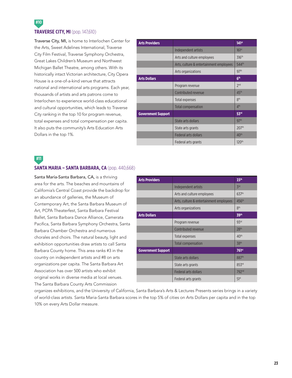### **TRAVERSE CITY, MI** (pop. 147,610)

Traverse City, MI, is home to Interlochen Center for the Arts, Sweet Adelines International, Traverse City Film Festival, Traverse Symphony Orchestra, Great Lakes Children's Museum and Northwest Michigan Ballet Theatre, among others. With its historically intact Victorian architecture, City Opera House is a one-of-a-kind venue that attracts national and international arts programs. Each year, thousands of artists and arts patrons come to Interlochen to experience world-class educational and cultural opportunities, which leads to Traverse City ranking in the top 10 for program revenue, total expenses and total compensation per capita. It also puts the community's Arts Education Arts Dollars in the top 1%.

| <b>Arts Providers</b>     |                                         | $141$ st          |
|---------------------------|-----------------------------------------|-------------------|
|                           | Independent artists                     | 161 <sup>st</sup> |
|                           | Arts and culture employees              | 316 <sup>th</sup> |
|                           | Arts, culture & entertainment employees | 544th             |
|                           | Arts organizations                      | 97 <sup>th</sup>  |
| <b>Arts Dollars</b>       |                                         | 6 <sup>th</sup>   |
|                           | Program revenue                         | 2 <sub>nd</sub>   |
|                           | Contributed revenue                     | 45 <sup>th</sup>  |
|                           | Total expenses                          | 8 <sup>th</sup>   |
|                           | Total compensation                      | 4 <sup>th</sup>   |
| <b>Government Support</b> |                                         | 53rd              |
|                           | State arts dollars                      | 97th              |
|                           | State arts grants                       | 207 <sup>th</sup> |
|                           | <b>Federal arts dollars</b>             | 40 <sup>th</sup>  |
|                           | Federal arts grants                     | 120 <sup>th</sup> |

### **#11**

**#10**

#### **SANTA MARIA – SANTA BARBARA, CA** (pop. 440,668)

Santa Maria-Santa Barbara, CA, is a thriving area for the arts. The beaches and mountains of California's Central Coast provide the backdrop for an abundance of galleries, the Museum of Contemporary Art, the Santa Barbara Museum of Art, PCPA Theaterfest, Santa Barbara Festival Ballet, Santa Barbara Dance Alliance, Camerata Pacifica, Santa Barbara Symphony Orchestra, Santa Barbara Chamber Orchestra and numerous chorales and choirs. The natural beauty, light and exhibition opportunities draw artists to call Santa Barbara County home. This area ranks #3 in the country on independent artists and #8 on arts organizations per capita. The Santa Barbara Art Association has over 500 artists who exhibit original works in diverse media at local venues. The Santa Barbara County Arts Commission

| <b>Arts Providers</b>     |                                         | 15 <sup>th</sup>  |
|---------------------------|-----------------------------------------|-------------------|
|                           | Independent artists                     | 3 <sup>rd</sup>   |
|                           | Arts and culture employees              | 637th             |
|                           | Arts, culture & entertainment employees | 456 <sup>th</sup> |
|                           | Arts organizations                      | 8 <sup>th</sup>   |
| <b>Arts Dollars</b>       |                                         | 39 <sup>th</sup>  |
|                           | Program revenue                         | 93rd              |
|                           | Contributed revenue                     | 28 <sup>th</sup>  |
|                           | Total expenses                          | 40 <sup>th</sup>  |
|                           | <b>Total compensation</b>               | 38 <sup>th</sup>  |
| <b>Government Support</b> |                                         | 761 <sup>st</sup> |
|                           | State arts dollars                      | 887th             |
|                           | State arts grants                       | 853rd             |
|                           | <b>Federal arts dollars</b>             | 792 <sup>nd</sup> |
|                           | Federal arts grants                     | 51 <sup>st</sup>  |

organizes exhibitions, and the University of California, Santa Barbara's Arts & Lectures Presents series brings in a variety of world-class artists. Santa Maria-Santa Barbara scores in the top 5% of cities on Arts Dollars per capita and in the top 10% on every Arts Dollar measure.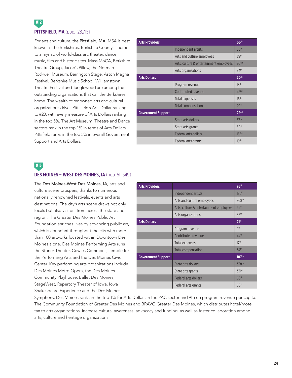### **#12 PITTSFIELD, MA** (pop. 128,715)

For arts and culture, the Pittsfield, MA, MSA is best known as the Berkshires. Berkshire County is home to a myriad of world-class art, theater, dance, music, film and historic sites. Mass MoCA, Berkshire Theatre Group, Jacob's Pillow, the Norman Rockwell Museum, Barrington Stage, Aston Magna Festival, Berkshire Music School, Williamstown Theatre Festival and Tanglewood are among the outstanding organizations that call the Berkshires home. The wealth of renowned arts and cultural organizations drives Pittsfield's Arts Dollar ranking to #20, with every measure of Arts Dollars ranking in the top 5%. The Art Museum, Theatre and Dance sectors rank in the top 1% in terms of Arts Dollars. Pittsfield ranks in the top 5% in overall Government Support and Arts Dollars.

| <b>Arts Providers</b>     |                                         | 66 <sup>th</sup>  |
|---------------------------|-----------------------------------------|-------------------|
|                           | Independent artists                     | 60 <sup>th</sup>  |
|                           | Arts and culture employees              | 39th              |
|                           | Arts, culture & entertainment employees | 201 <sup>st</sup> |
|                           | Arts organizations                      | 34th              |
| <b>Arts Dollars</b>       |                                         | 20 <sup>th</sup>  |
|                           | Program revenue                         | 18 <sup>th</sup>  |
|                           | Contributed revenue                     | 42 <sup>nd</sup>  |
|                           | Total expenses                          | 16 <sup>th</sup>  |
|                           | <b>Total compensation</b>               | 20 <sup>th</sup>  |
| <b>Government Support</b> |                                         | 22 <sub>nd</sub>  |
|                           | State arts dollars                      | 57th              |
|                           | State arts grants                       | 50 <sup>th</sup>  |
|                           | <b>Federal arts dollars</b>             | 153rd             |
|                           | Federal arts grants                     | 19 <sup>th</sup>  |

### **#13**

#### **DES MOINES – WEST DES MOINES, IA** (pop. 611,549)

The Des Moines-West Des Moines, IA, arts and culture scene prospers, thanks to numerous nationally renowned festivals, events and arts destinations. The city's arts scene draws not only locals but also visitors from across the state and region. The Greater Des Moines Public Art Foundation enriches lives by advancing public art, which is abundant throughout the city with more than 100 artworks located within Downtown Des Moines alone. Des Moines Performing Arts runs the Stoner Theater, Cowles Commons, Temple for the Performing Arts and the Des Moines Civic Center. Key performing arts organizations include Des Moines Metro Opera, the Des Moines Community Playhouse, Ballet Des Moines, StageWest, Repertory Theater of Iowa, Iowa Shakespeare Experience and the Des Moines

| <b>Arts Providers</b>     |                                         | 76 <sup>th</sup>  |
|---------------------------|-----------------------------------------|-------------------|
|                           | Independent artists                     | 136 <sup>th</sup> |
|                           | Arts and culture employees              | 368 <sup>th</sup> |
|                           | Arts, culture & entertainment employees | 69th              |
|                           | Arts organizations                      | 82 <sup>nd</sup>  |
| <b>Arts Dollars</b>       |                                         | 21 <sup>st</sup>  |
|                           | Program revenue                         | gth               |
|                           | Contributed revenue                     | 44 <sup>th</sup>  |
|                           | Total expenses                          | 17 <sup>th</sup>  |
|                           | <b>Total compensation</b>               | 34th              |
| <b>Government Support</b> |                                         | 107 <sup>th</sup> |
|                           | State arts dollars                      | 338th             |
|                           | State arts grants                       | 331st             |
|                           | <b>Federal arts dollars</b>             | 60 <sup>th</sup>  |
|                           | Federal arts grants                     | 66 <sup>th</sup>  |

Symphony. Des Moines ranks in the top 1% for Arts Dollars in the PAC sector and 9th on program revenue per capita. The Community Foundation of Greater Des Moines and BRAVO Greater Des Moines, which distributes hotel/motel tax to arts organizations, increase cultural awareness, advocacy and funding, as well as foster collaboration among arts, culture and heritage organizations.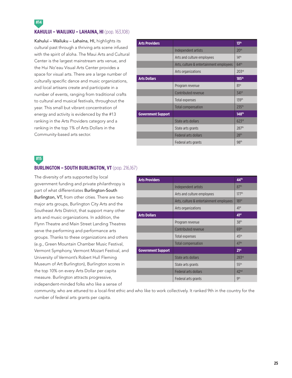### **KAHULUI – WAILUKU – LAHAINA, HI** (pop. 163,108)

Kahului – Wailuku – Lahaina, HI, highlights its cultural past through a thriving arts scene infused with the spirit of aloha. The Maui Arts and Cultural Center is the largest mainstream arts venue, and the Hui No'eau Visual Arts Center provides a space for visual arts. There are a large number of culturally specific dance and music organizations, and local artisans create and participate in a number of events, ranging from traditional crafts to cultural and musical festivals, throughout the year. This small but vibrant concentration of energy and activity is evidenced by the #13 ranking in the Arts Providers category and a ranking in the top 1% of Arts Dollars in the Community-based arts sector.

| <b>Arts Providers</b>     |                                         | 13 <sup>th</sup>    |
|---------------------------|-----------------------------------------|---------------------|
|                           | Independent artists                     | 20 <sup>th</sup>    |
|                           | Arts and culture employees              | 14 <sup>th</sup>    |
|                           | Arts, culture & entertainment employees | 64 <sup>th</sup>    |
|                           | Arts organizations                      | 203rd               |
| <b>Arts Dollars</b>       |                                         | 185 <sup>th</sup>   |
|                           | Program revenue                         | 81st                |
|                           | Contributed revenue                     | $341$ <sup>st</sup> |
|                           | Total expenses                          | 139th               |
|                           | Total compensation                      | 235 <sup>th</sup>   |
| <b>Government Support</b> |                                         | 148 <sup>th</sup>   |
|                           | State arts dollars                      | 623rd               |
|                           | State arts grants                       | 287 <sup>th</sup>   |
|                           | Federal arts dollars                    | 28 <sup>th</sup>    |
|                           | Federal arts grants                     | 98 <sup>th</sup>    |

### **#15**

#### **BURLINGTON - SOUTH BURLINGTON, VT** (pop. 216,167)

The diversity of arts supported by local government funding and private philanthropy is part of what differentiates Burlington-South Burlington, VT, from other cities. There are two major arts groups, Burlington City Arts and the Southeast Arts District, that support many other arts and music organizations. In addition, the Flynn Theatre and Main Street Landing Theatres serve the performing and performance arts groups. Thanks to these organizations and others (e.g., Green Mountain Chamber Music Festival, Vermont Symphony, Vermont Mozart Festival, and University of Vermont's Robert Hull Fleming Museum of Art Burlington), Burlington scores in the top 10% on every Arts Dollar per capita measure. Burlington attracts progressive, independent-minded folks who like a sense of

| <b>Arts Providers</b>     |                                         | 44 <sup>th</sup>  |
|---------------------------|-----------------------------------------|-------------------|
|                           | Independent artists                     | 87th              |
|                           | Arts and culture employees              | 177 <sup>th</sup> |
|                           | Arts, culture & entertainment employees | 181 <sup>st</sup> |
|                           | Arts organizations                      | 41 <sup>st</sup>  |
| <b>Arts Dollars</b>       |                                         | 41 <sup>st</sup>  |
|                           | Program revenue                         | 38 <sup>th</sup>  |
|                           | Contributed revenue                     | 69 <sup>th</sup>  |
|                           | Total expenses                          | 45 <sup>th</sup>  |
|                           | <b>Total compensation</b>               | 47 <sup>th</sup>  |
| <b>Government Support</b> |                                         | 21 <sup>st</sup>  |
|                           | State arts dollars                      | 283rd             |
|                           | State arts grants                       | 55 <sup>th</sup>  |
|                           | <b>Federal arts dollars</b>             | 42 <sup>nd</sup>  |
|                           | Federal arts grants                     | <b>gth</b>        |

community, who are attuned to a local-first ethic and who like to work collectively. It ranked 9th in the country for the number of federal arts grants per capita.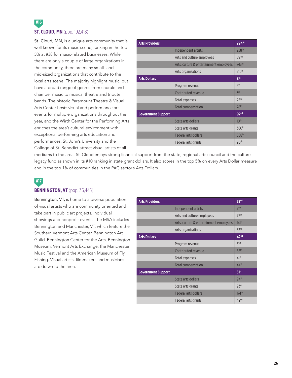### **#16 ST. CLOUD, MN** (pop. 192,418)

St. Cloud, MN, is a unique arts community that is well known for its music scene, ranking in the top 5% at #38 for music-related businesses. While there are only a couple of large organizations in the community, there are many small- and mid-sized organizations that contribute to the local arts scene. The majority highlight music, but have a broad range of genres from chorale and chamber music to musical theatre and tribute bands. The historic Paramount Theatre & Visual Arts Center hosts visual and performance art events for multiple organizations throughout the year, and the Wirth Center for the Performing Arts enriches the area's cultural environment with exceptional performing arts education and performances. St. John's University and the College of St. Benedict attract visual artists of all

| <b>Arts Providers</b>     |                                         | 294th             |
|---------------------------|-----------------------------------------|-------------------|
|                           | Independent artists                     | 258 <sup>th</sup> |
|                           | Arts and culture employees              | 591st             |
|                           | Arts, culture & entertainment employees | 743rd             |
|                           | Arts organizations                      | 210th             |
| <b>Arts Dollars</b>       |                                         | 8 <sup>th</sup>   |
|                           | Program revenue                         | 5 <sup>th</sup>   |
|                           | Contributed revenue                     | Z <sub>rd</sub>   |
|                           | Total expenses                          | 22 <sub>nd</sub>  |
|                           | <b>Total compensation</b>               | 28 <sup>th</sup>  |
| <b>Government Support</b> |                                         | 92 <sub>nd</sub>  |
|                           | State arts dollars                      | 10 <sup>th</sup>  |
|                           | State arts grants                       | 380 <sup>th</sup> |
|                           | <b>Federal arts dollars</b>             | 568th             |
|                           | Federal arts grants                     | 90 <sup>th</sup>  |

mediums to the area. St. Cloud enjoys strong financial support from the state, regional arts council and the culture legacy fund as shown in its #10 ranking in state grant dollars. It also scores in the top 5% on every Arts Dollar measure and in the top 1% of communities in the PAC sector's Arts Dollars.

### **#17 BENNINGTON, VT** (pop. 36,445)

Bennington, VT, is home to a diverse population of visual artists who are community oriented and take part in public art projects, individual showings and nonprofit events. The MSA includes Bennington and Manchester, VT, which feature the Southern Vermont Arts Center, Bennington Art Guild, Bennington Center for the Arts, Bennington Museum, Vermont Arts Exchange, the Manchester Music Festival and the American Museum of Fly Fishing. Visual artists, filmmakers and musicians are drawn to the area.

| <b>Arts Providers</b>     |                                         | 72 <sup>nd</sup>  |
|---------------------------|-----------------------------------------|-------------------|
|                           | Independent artists                     | 71 <sup>st</sup>  |
|                           | Arts and culture employees              | 77th              |
|                           | Arts, culture & entertainment employees | 141 <sup>st</sup> |
|                           | Arts organizations                      | 52 <sup>nd</sup>  |
| <b>Arts Dollars</b>       |                                         | 42 <sup>nd</sup>  |
|                           | Program revenue                         | 51 <sup>st</sup>  |
|                           | Contributed revenue                     | 65 <sup>th</sup>  |
|                           | Total expenses                          | 41 <sup>st</sup>  |
|                           | <b>Total compensation</b>               | 44 <sup>th</sup>  |
| <b>Government Support</b> |                                         | 51 <sup>st</sup>  |
|                           | State arts dollars                      | 94 <sup>th</sup>  |
|                           | State arts grants                       | 93 <sup>rd</sup>  |
|                           | <b>Federal arts dollars</b>             | 174 <sup>th</sup> |
|                           | Federal arts grants                     | 42 <sup>nd</sup>  |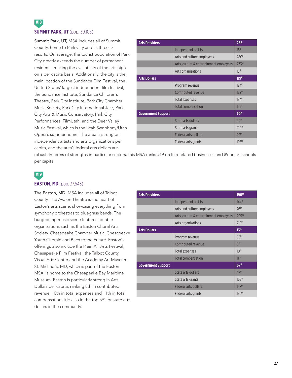### **SUMMIT PARK, UT** (pop. 39,105)

**#18**

Summit Park, UT, MSA includes all of Summit County, home to Park City and its three ski resorts. On average, the tourist population of Park City greatly exceeds the number of permanent residents, making the availability of the arts high on a per capita basis. Additionally, the city is the main location of the Sundance Film Festival, the United States' largest independent film festival, the Sundance Institute, Sundance Children's Theatre, Park City Institute, Park City Chamber Music Society, Park City International Jazz, Park City Arts & Music Conservatory, Park City Performances, FilmUtah, and the Deer Valley Music Festival, which is the Utah Symphony/Utah Opera's summer home. The area is strong on independent artists and arts organizations per capita, and the area's federal arts dollars are

| <b>Arts Providers</b>     |                                         | 28 <sup>th</sup>    |
|---------------------------|-----------------------------------------|---------------------|
|                           | Independent artists                     | 16 <sup>th</sup>    |
|                           | Arts and culture employees              | 280 <sup>th</sup>   |
|                           | Arts, culture & entertainment employees | 273 <sup>rd</sup>   |
|                           | Arts organizations                      | 18 <sup>th</sup>    |
| <b>Arts Dollars</b>       |                                         | 119th               |
|                           | Program revenue                         | 124th               |
|                           | Contributed revenue                     | 132 <sup>nd</sup>   |
|                           | Total expenses                          | $134$ <sup>th</sup> |
|                           | <b>Total compensation</b>               | 129 <sup>th</sup>   |
| <b>Government Support</b> |                                         | 70 <sup>th</sup>    |
|                           | State arts dollars                      | 94 <sup>th</sup>    |
|                           | State arts grants                       | 210 <sup>th</sup>   |
|                           | <b>Federal arts dollars</b>             | 29th                |
|                           | Federal arts grants                     | 193rd               |

robust. In terms of strengths in particular sectors, this MSA ranks #19 on film-related businesses and #9 on art schools per capita.

## **#19**

#### **EASTON, MD** (pop. 37,643)

The Easton, MD, MSA includes all of Talbot County. The Avalon Theatre is the heart of Easton's arts scene, showcasing everything from symphony orchestras to bluegrass bands. The burgeoning music scene features notable organizations such as the Easton Choral Arts Society, Chesapeake Chamber Music, Chesapeake Youth Chorale and Bach to the Future. Easton's offerings also include the Plein Air Arts Festival, Chesapeake Film Festival, the Talbot County Visual Arts Center and the Academy Art Museum. St. Michael's, MD, which is part of the Easton MSA, is home to the Chesapeake Bay Maritime Museum. Easton is particularly strong in Arts Dollars per capita, ranking 8th in contributed revenue, 10th in total expenses and 11th in total compensation. It is also in the top 5% for state arts dollars in the community.

| <b>Arts Providers</b>     |                                         | 190th             |
|---------------------------|-----------------------------------------|-------------------|
|                           | Independent artists                     | 144 <sup>th</sup> |
|                           | Arts and culture employees              | 76 <sup>th</sup>  |
|                           | Arts, culture & entertainment employees | 295 <sup>th</sup> |
|                           | Arts organizations                      | 219th             |
| <b>Arts Dollars</b>       |                                         | 13 <sup>th</sup>  |
|                           | Program revenue                         | 56 <sup>th</sup>  |
|                           | Contributed revenue                     | 8 <sup>th</sup>   |
|                           | Total expenses                          | 10 <sup>th</sup>  |
|                           | Total compensation                      | 11 <sup>th</sup>  |
| <b>Government Support</b> |                                         | 67 <sup>th</sup>  |
|                           | State arts dollars                      | 47 <sup>th</sup>  |
|                           | State arts grants                       | 168 <sup>th</sup> |
|                           | Federal arts dollars                    | 147 <sup>th</sup> |
|                           | Federal arts grants                     | 136 <sup>th</sup> |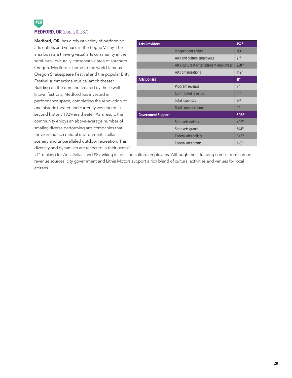

Medford, OR, has a robust variety of performing arts outlets and venues in the Rogue Valley. The area boasts a thriving visual arts community in the semi-rural, culturally conservative area of southern Oregon. Medford is home to the world-famous Oregon Shakespeare Festival and the popular Britt Festival summertime musical amphitheater. Building on the demand created by these wellknown festivals, Medford has invested in performance space, completing the renovation of one historic theater and currently working on a second historic 1929-era theater. As a result, the community enjoys an above-average number of smaller, diverse performing arts companies that thrive in the rich natural environment, stellar scenery and unparalleled outdoor recreation. This diversity and dynamism are reflected in their overall

| <b>Arts Providers</b>     |                                         | 157 <sup>th</sup> |
|---------------------------|-----------------------------------------|-------------------|
|                           | Independent artists                     | 110 <sup>th</sup> |
|                           | Arts and culture employees              | 2 <sub>nd</sub>   |
|                           | Arts, culture & entertainment employees | 228 <sup>th</sup> |
|                           | Arts organizations                      | 149th             |
| <b>Arts Dollars</b>       |                                         | 11 <sup>th</sup>  |
|                           | Program revenue                         | 7 <sup>th</sup>   |
|                           | Contributed revenue                     | 41 <sup>st</sup>  |
|                           | Total expenses                          | 19th              |
|                           | <b>Total compensation</b>               | <b>gth</b>        |
| <b>Government Support</b> |                                         | 306th             |
|                           | State arts dollars                      | 405 <sup>th</sup> |
|                           | State arts grants                       | 344th             |
|                           | <b>Federal arts dollars</b>             | 643 <sup>rd</sup> |
|                           | Federal arts grants                     | 168 <sup>th</sup> |

#11 ranking for Arts Dollars and #2 ranking in arts and culture employees. Although most funding comes from earned revenue sources, city government and Lithia Motors support a rich blend of cultural activities and venues for local citizens.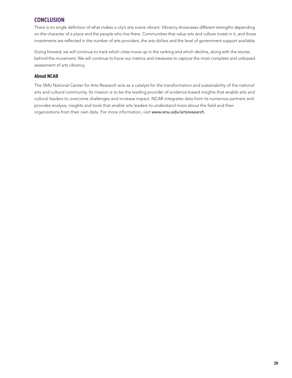### **CONCLUSION**

There is no single definition of what makes a city's arts scene vibrant. Vibrancy showcases different strengths depending on the character of a place and the people who live there. Communities that value arts and culture invest in it, and those investments are reflected in the number of arts providers, the arts dollars and the level of government support available.

Going forward, we will continue to track which cities move up in the ranking and which decline, along with the stories behind the movement. We will continue to hone our metrics and measures to capture the most complete and unbiased assessment of arts vibrancy.

### **About NCAR**

The SMU National Center for Arts Research acts as a catalyst for the transformation and sustainability of the national arts and cultural community. Its mission is to be the leading provider of evidence-based insights that enable arts and cultural leaders to overcome challenges and increase impact. NCAR integrates data from its numerous partners and provides analysis, insights and tools that enable arts leaders to understand more about the field and their organizations from their own data. For more information, visit www.smu.edu/artsresearch.